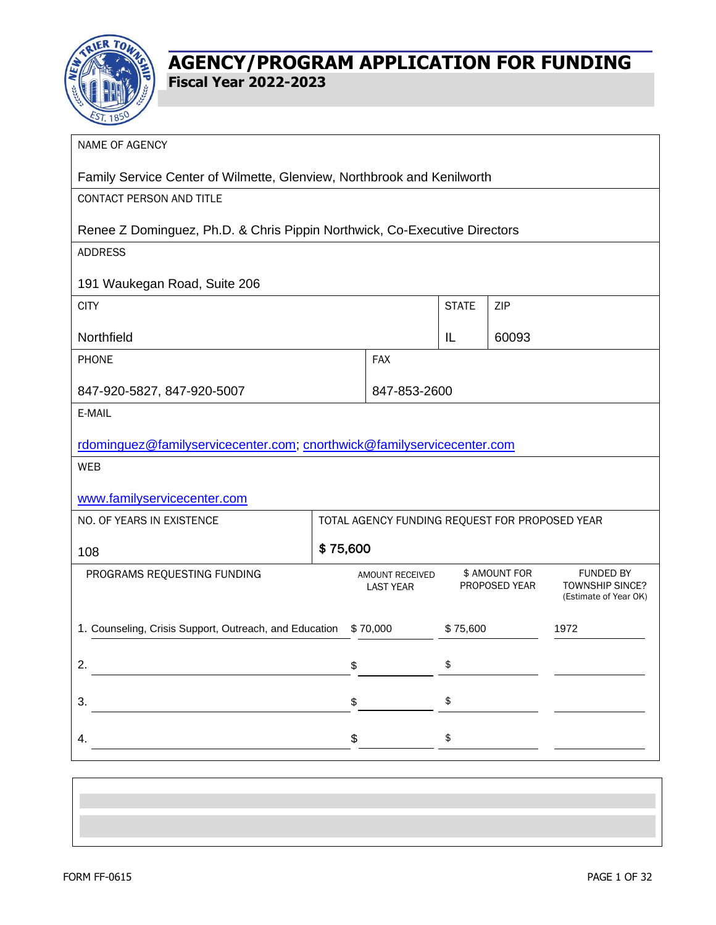

| NAME OF AGENCY                                                            |          |                                                |              |                                |                                                                     |
|---------------------------------------------------------------------------|----------|------------------------------------------------|--------------|--------------------------------|---------------------------------------------------------------------|
| Family Service Center of Wilmette, Glenview, Northbrook and Kenilworth    |          |                                                |              |                                |                                                                     |
| CONTACT PERSON AND TITLE                                                  |          |                                                |              |                                |                                                                     |
| Renee Z Dominguez, Ph.D. & Chris Pippin Northwick, Co-Executive Directors |          |                                                |              |                                |                                                                     |
| <b>ADDRESS</b>                                                            |          |                                                |              |                                |                                                                     |
| 191 Waukegan Road, Suite 206                                              |          |                                                |              |                                |                                                                     |
| <b>CITY</b>                                                               |          |                                                | <b>STATE</b> | ZIP                            |                                                                     |
| Northfield                                                                |          |                                                | IL           | 60093                          |                                                                     |
| PHONE                                                                     |          | <b>FAX</b>                                     |              |                                |                                                                     |
| 847-920-5827, 847-920-5007                                                |          | 847-853-2600                                   |              |                                |                                                                     |
| E-MAIL                                                                    |          |                                                |              |                                |                                                                     |
| rdominguez@familyservicecenter.com; cnorthwick@familyservicecenter.com    |          |                                                |              |                                |                                                                     |
| <b>WEB</b>                                                                |          |                                                |              |                                |                                                                     |
| www.familyservicecenter.com                                               |          |                                                |              |                                |                                                                     |
| NO. OF YEARS IN EXISTENCE                                                 |          | TOTAL AGENCY FUNDING REQUEST FOR PROPOSED YEAR |              |                                |                                                                     |
| 108                                                                       | \$75,600 |                                                |              |                                |                                                                     |
| PROGRAMS REQUESTING FUNDING                                               |          | <b>AMOUNT RECEIVED</b><br><b>LAST YEAR</b>     |              | \$ AMOUNT FOR<br>PROPOSED YEAR | <b>FUNDED BY</b><br><b>TOWNSHIP SINCE?</b><br>(Estimate of Year OK) |
| 1. Counseling, Crisis Support, Outreach, and Education                    |          | \$70,000                                       | \$75,600     |                                | 1972                                                                |
| 2.                                                                        | \$       |                                                | \$           |                                |                                                                     |
| 3.                                                                        | \$       |                                                | \$           |                                |                                                                     |
| 4.                                                                        | \$       |                                                | \$           |                                |                                                                     |
|                                                                           |          |                                                |              |                                |                                                                     |
|                                                                           |          |                                                |              |                                |                                                                     |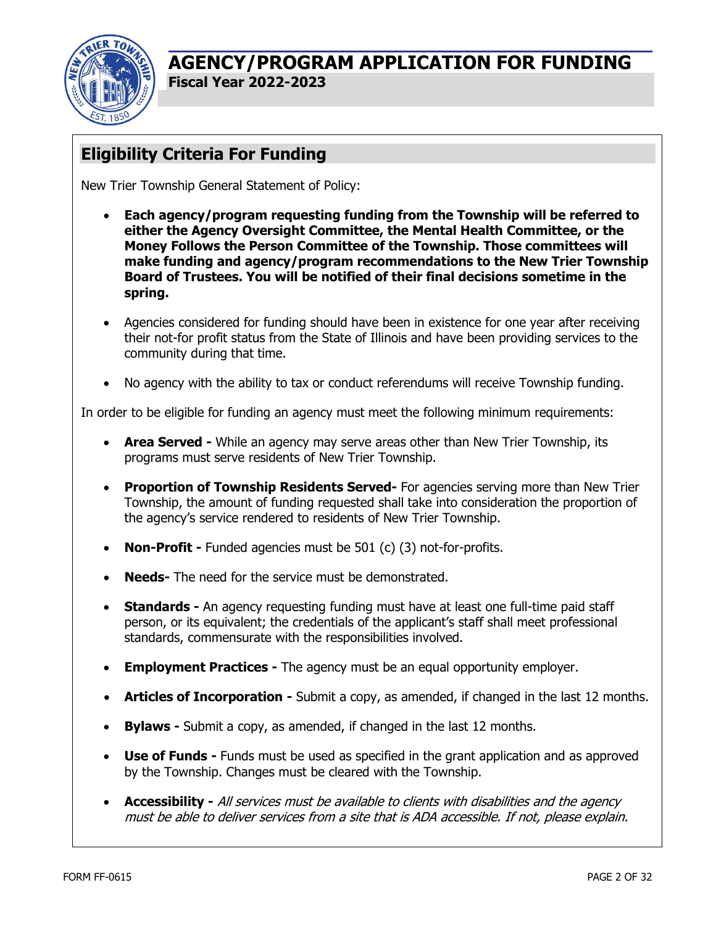

# **Eligibility Criteria For Funding**

New Trier Township General Statement of Policy:

- **Each agency/program requesting funding from the Township will be referred to either the Agency Oversight Committee, the Mental Health Committee, or the Money Follows the Person Committee of the Township. Those committees will make funding and agency/program recommendations to the New Trier Township Board of Trustees. You will be notified of their final decisions sometime in the spring.**
- Agencies considered for funding should have been in existence for one year after receiving their not-for profit status from the State of Illinois and have been providing services to the community during that time.
- No agency with the ability to tax or conduct referendums will receive Township funding.

In order to be eligible for funding an agency must meet the following minimum requirements:

- **Area Served** While an agency may serve areas other than New Trier Township, its programs must serve residents of New Trier Township.
- **Proportion of Township Residents Served-** For agencies serving more than New Trier Township, the amount of funding requested shall take into consideration the proportion of the agency's service rendered to residents of New Trier Township.
- **Non-Profit -** Funded agencies must be 501 (c) (3) not-for-profits.
- **Needs-** The need for the service must be demonstrated.
- **Standards -** An agency requesting funding must have at least one full-time paid staff person, or its equivalent; the credentials of the applicant's staff shall meet professional standards, commensurate with the responsibilities involved.
- **Employment Practices -** The agency must be an equal opportunity employer.
- **Articles of Incorporation -** Submit a copy, as amended, if changed in the last 12 months.
- **Bylaws -** Submit a copy, as amended, if changed in the last 12 months.
- **Use of Funds -** Funds must be used as specified in the grant application and as approved by the Township. Changes must be cleared with the Township.
- **Accessibility -** All services must be available to clients with disabilities and the agency must be able to deliver services from a site that is ADA accessible. If not, please explain.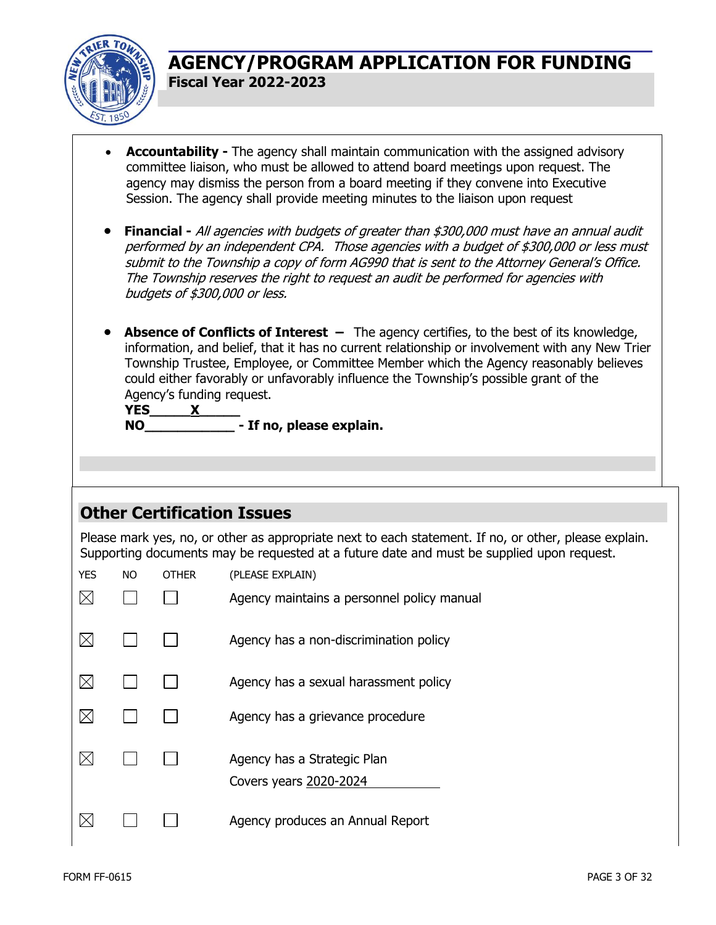

- **Accountability -** The agency shall maintain communication with the assigned advisory committee liaison, who must be allowed to attend board meetings upon request. The agency may dismiss the person from a board meeting if they convene into Executive Session. The agency shall provide meeting minutes to the liaison upon request
- **Financial -** All agencies with budgets of greater than \$300,000 must have an annual audit performed by an independent CPA. Those agencies with a budget of \$300,000 or less must submit to the Township a copy of form AG990 that is sent to the Attorney General's Office. The Township reserves the right to request an audit be performed for agencies with budgets of \$300,000 or less.
- **Absence of Conflicts of Interest –** The agency certifies, to the best of its knowledge, information, and belief, that it has no current relationship or involvement with any New Trier Township Trustee, Employee, or Committee Member which the Agency reasonably believes could either favorably or unfavorably influence the Township's possible grant of the Agency's funding request.

| <b>YES</b> |                          |
|------------|--------------------------|
| NO.        | - If no, please explain. |

#### **Other Certification Issues**

Please mark yes, no, or other as appropriate next to each statement. If no, or other, please explain. Supporting documents may be requested at a future date and must be supplied upon request.

| <b>YES</b> | <b>NO</b> | <b>OTHER</b> | (PLEASE EXPLAIN)                                      |
|------------|-----------|--------------|-------------------------------------------------------|
|            |           |              | Agency maintains a personnel policy manual            |
|            |           |              | Agency has a non-discrimination policy                |
|            |           |              | Agency has a sexual harassment policy                 |
|            |           |              | Agency has a grievance procedure                      |
|            |           |              | Agency has a Strategic Plan<br>Covers years 2020-2024 |
|            |           |              | Agency produces an Annual Report                      |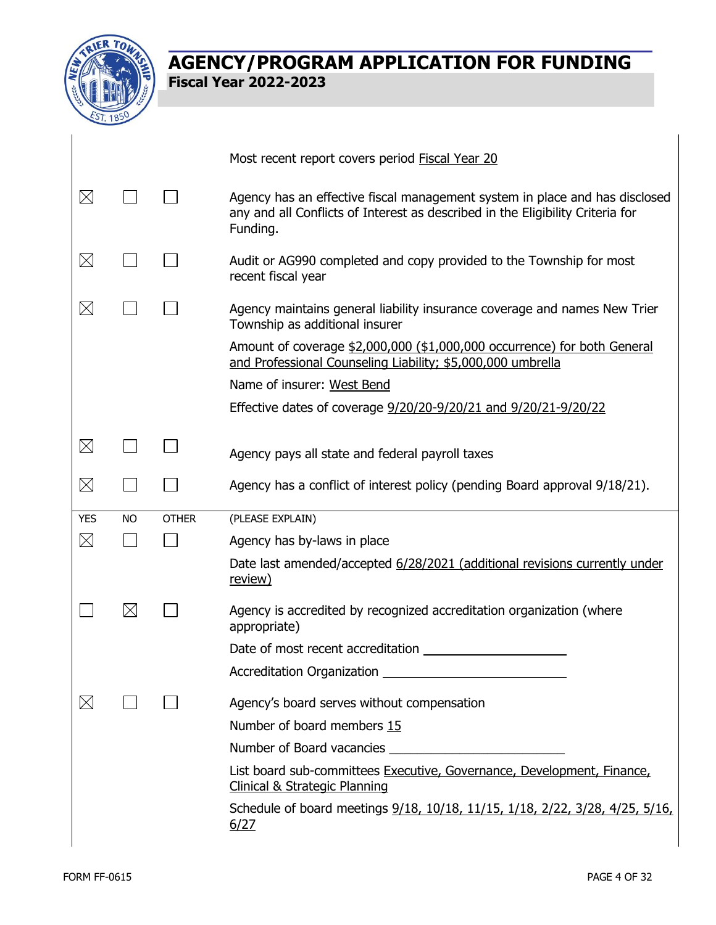

| Most recent report covers period Fiscal Year 20                                                                                         |                                                                             |
|-----------------------------------------------------------------------------------------------------------------------------------------|-----------------------------------------------------------------------------|
|                                                                                                                                         |                                                                             |
| $\boxtimes$<br>any and all Conflicts of Interest as described in the Eligibility Criteria for<br>Funding.                               | Agency has an effective fiscal management system in place and has disclosed |
| $\boxtimes$<br>Audit or AG990 completed and copy provided to the Township for most<br>recent fiscal year                                |                                                                             |
| $\boxtimes$<br>Agency maintains general liability insurance coverage and names New Trier<br>Township as additional insurer              |                                                                             |
| Amount of coverage \$2,000,000 (\$1,000,000 occurrence) for both General<br>and Professional Counseling Liability; \$5,000,000 umbrella |                                                                             |
| Name of insurer: West Bend                                                                                                              |                                                                             |
| Effective dates of coverage 9/20/20-9/20/21 and 9/20/21-9/20/22                                                                         |                                                                             |
|                                                                                                                                         |                                                                             |
| $\boxtimes$<br>Agency pays all state and federal payroll taxes                                                                          |                                                                             |
|                                                                                                                                         |                                                                             |
| $\boxtimes$<br>Agency has a conflict of interest policy (pending Board approval 9/18/21).                                               |                                                                             |
| (PLEASE EXPLAIN)<br><b>YES</b><br><b>OTHER</b><br><b>NO</b>                                                                             |                                                                             |
| $\boxtimes$<br>Agency has by-laws in place                                                                                              |                                                                             |
| Date last amended/accepted 6/28/2021 (additional revisions currently under<br><u>review)</u>                                            |                                                                             |
| $\boxtimes$<br>Agency is accredited by recognized accreditation organization (where<br>appropriate)                                     |                                                                             |
| Date of most recent accreditation                                                                                                       |                                                                             |
|                                                                                                                                         |                                                                             |
| $\times$<br>Agency's board serves without compensation                                                                                  |                                                                             |
| Number of board members 15                                                                                                              |                                                                             |
|                                                                                                                                         |                                                                             |
| List board sub-committees Executive, Governance, Development, Finance,<br><b>Clinical &amp; Strategic Planning</b>                      |                                                                             |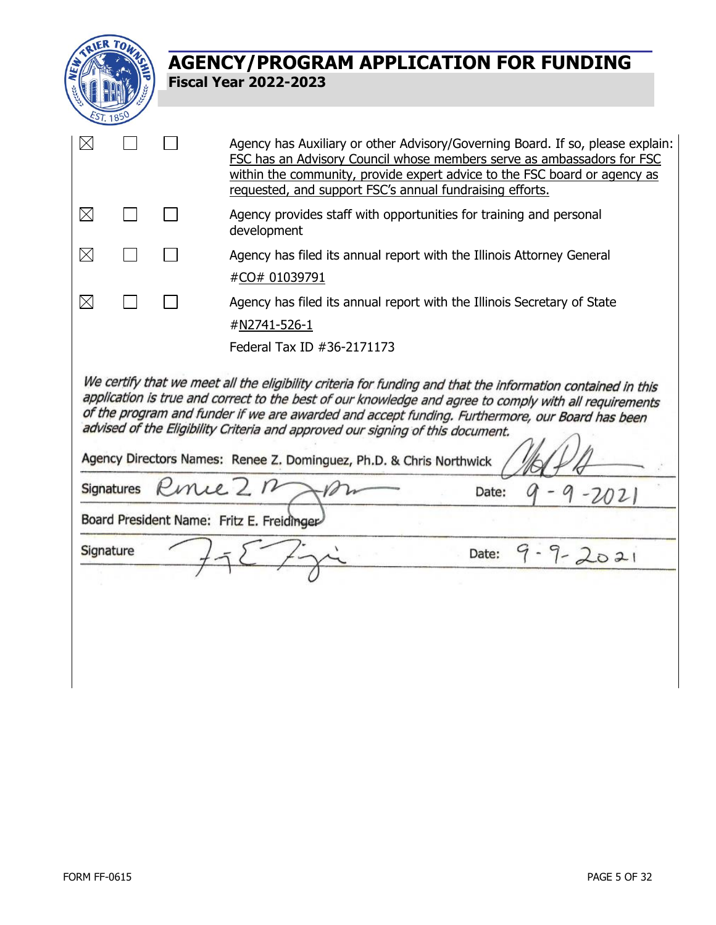

| $\boxtimes$                                                                                                                                                                                                                                                                                                                                                                                                                                                                                                                                      |  | Agency has Auxiliary or other Advisory/Governing Board. If so, please explain:<br>FSC has an Advisory Council whose members serve as ambassadors for FSC<br>within the community, provide expert advice to the FSC board or agency as<br>requested, and support FSC's annual fundraising efforts. |  |  |  |
|--------------------------------------------------------------------------------------------------------------------------------------------------------------------------------------------------------------------------------------------------------------------------------------------------------------------------------------------------------------------------------------------------------------------------------------------------------------------------------------------------------------------------------------------------|--|---------------------------------------------------------------------------------------------------------------------------------------------------------------------------------------------------------------------------------------------------------------------------------------------------|--|--|--|
| $\boxtimes$                                                                                                                                                                                                                                                                                                                                                                                                                                                                                                                                      |  | Agency provides staff with opportunities for training and personal<br>development                                                                                                                                                                                                                 |  |  |  |
| $\boxtimes$                                                                                                                                                                                                                                                                                                                                                                                                                                                                                                                                      |  | Agency has filed its annual report with the Illinois Attorney General<br>#CO# 01039791                                                                                                                                                                                                            |  |  |  |
| $\boxtimes$                                                                                                                                                                                                                                                                                                                                                                                                                                                                                                                                      |  | Agency has filed its annual report with the Illinois Secretary of State<br>#N2741-526-1                                                                                                                                                                                                           |  |  |  |
| Federal Tax ID #36-2171173<br>We certify that we meet all the eligibility criteria for funding and that the information contained in this<br>application is true and correct to the best of our knowledge and agree to comply with all requirements<br>of the program and funder if we are awarded and accept funding. Furthermore, our Board has been<br>advised of the Eligibility Criteria and approved our signing of this document.<br>Agency Directors Names: Renee Z. Dominguez, Ph.D. & Chris Northwick<br>Signatures Rince 2 n<br>Date: |  |                                                                                                                                                                                                                                                                                                   |  |  |  |
| Board President Name: Fritz E. Freidinger                                                                                                                                                                                                                                                                                                                                                                                                                                                                                                        |  |                                                                                                                                                                                                                                                                                                   |  |  |  |
| Signature                                                                                                                                                                                                                                                                                                                                                                                                                                                                                                                                        |  | Date:<br>$1 - 2021$                                                                                                                                                                                                                                                                               |  |  |  |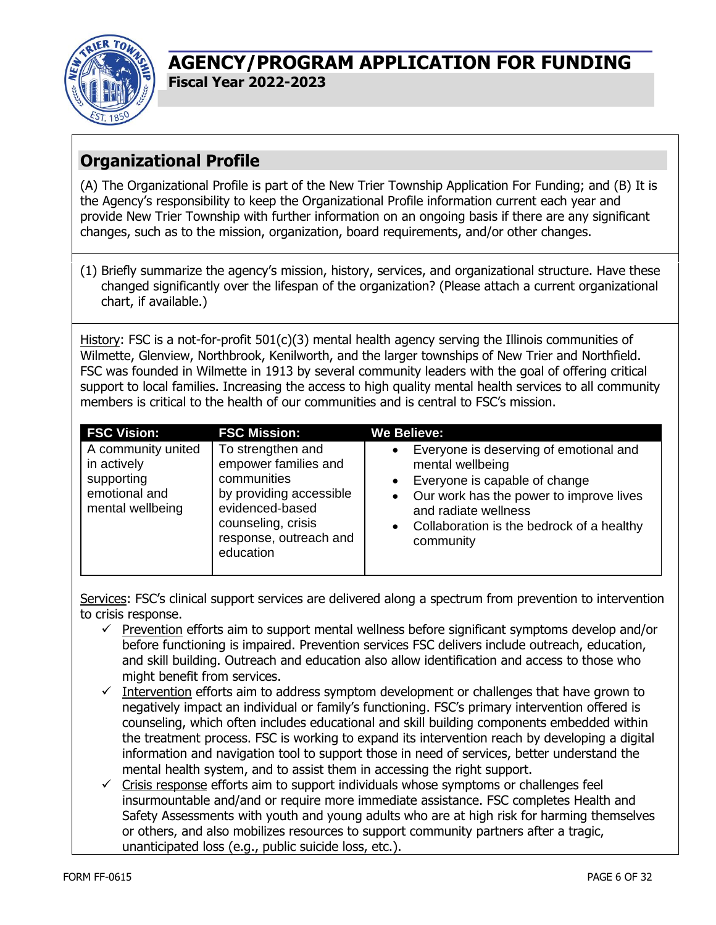

# **Organizational Profile**

(A) The Organizational Profile is part of the New Trier Township Application For Funding; and (B) It is the Agency's responsibility to keep the Organizational Profile information current each year and provide New Trier Township with further information on an ongoing basis if there are any significant changes, such as to the mission, organization, board requirements, and/or other changes.

(1) Briefly summarize the agency's mission, history, services, and organizational structure. Have these changed significantly over the lifespan of the organization? (Please attach a current organizational chart, if available.)

History: FSC is a not-for-profit 501(c)(3) mental health agency serving the Illinois communities of Wilmette, Glenview, Northbrook, Kenilworth, and the larger townships of New Trier and Northfield. FSC was founded in Wilmette in 1913 by several community leaders with the goal of offering critical support to local families. Increasing the access to high quality mental health services to all community members is critical to the health of our communities and is central to FSC's mission.

| <b>FSC Vision:</b>                                                                   | <b>FSC Mission:</b>                                                                                                                                                 | <b>We Believe:</b>                                                                                                                                                                                                                                     |
|--------------------------------------------------------------------------------------|---------------------------------------------------------------------------------------------------------------------------------------------------------------------|--------------------------------------------------------------------------------------------------------------------------------------------------------------------------------------------------------------------------------------------------------|
| A community united<br>in actively<br>supporting<br>emotional and<br>mental wellbeing | To strengthen and<br>empower families and<br>communities<br>by providing accessible<br>evidenced-based<br>counseling, crisis<br>response, outreach and<br>education | Everyone is deserving of emotional and<br>$\bullet$<br>mental wellbeing<br>Everyone is capable of change<br>$\bullet$<br>• Our work has the power to improve lives<br>and radiate wellness<br>• Collaboration is the bedrock of a healthy<br>community |

Services: FSC's clinical support services are delivered along a spectrum from prevention to intervention to crisis response.

- $\checkmark$  Prevention efforts aim to support mental wellness before significant symptoms develop and/or before functioning is impaired. Prevention services FSC delivers include outreach, education, and skill building. Outreach and education also allow identification and access to those who might benefit from services.
- $\checkmark$  Intervention efforts aim to address symptom development or challenges that have grown to negatively impact an individual or family's functioning. FSC's primary intervention offered is counseling, which often includes educational and skill building components embedded within the treatment process. FSC is working to expand its intervention reach by developing a digital information and navigation tool to support those in need of services, better understand the mental health system, and to assist them in accessing the right support.
- $\checkmark$  Crisis response efforts aim to support individuals whose symptoms or challenges feel insurmountable and/and or require more immediate assistance. FSC completes Health and Safety Assessments with youth and young adults who are at high risk for harming themselves or others, and also mobilizes resources to support community partners after a tragic, unanticipated loss (e.g., public suicide loss, etc.).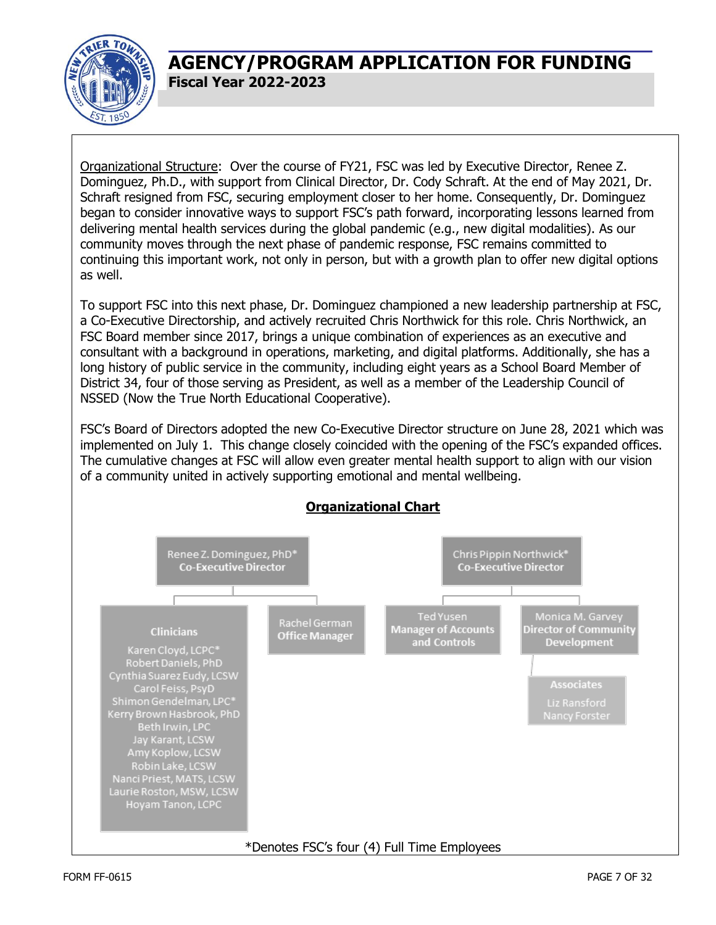

Organizational Structure: Over the course of FY21, FSC was led by Executive Director, Renee Z. Dominguez, Ph.D., with support from Clinical Director, Dr. Cody Schraft. At the end of May 2021, Dr. Schraft resigned from FSC, securing employment closer to her home. Consequently, Dr. Dominguez began to consider innovative ways to support FSC's path forward, incorporating lessons learned from delivering mental health services during the global pandemic (e.g., new digital modalities). As our community moves through the next phase of pandemic response, FSC remains committed to continuing this important work, not only in person, but with a growth plan to offer new digital options as well.

To support FSC into this next phase, Dr. Dominguez championed a new leadership partnership at FSC, a Co-Executive Directorship, and actively recruited Chris Northwick for this role. Chris Northwick, an FSC Board member since 2017, brings a unique combination of experiences as an executive and consultant with a background in operations, marketing, and digital platforms. Additionally, she has a long history of public service in the community, including eight years as a School Board Member of District 34, four of those serving as President, as well as a member of the Leadership Council of NSSED (Now the True North Educational Cooperative).

FSC's Board of Directors adopted the new Co-Executive Director structure on June 28, 2021 which was implemented on July 1. This change closely coincided with the opening of the FSC's expanded offices. The cumulative changes at FSC will allow even greater mental health support to align with our vision of a community united in actively supporting emotional and mental wellbeing.

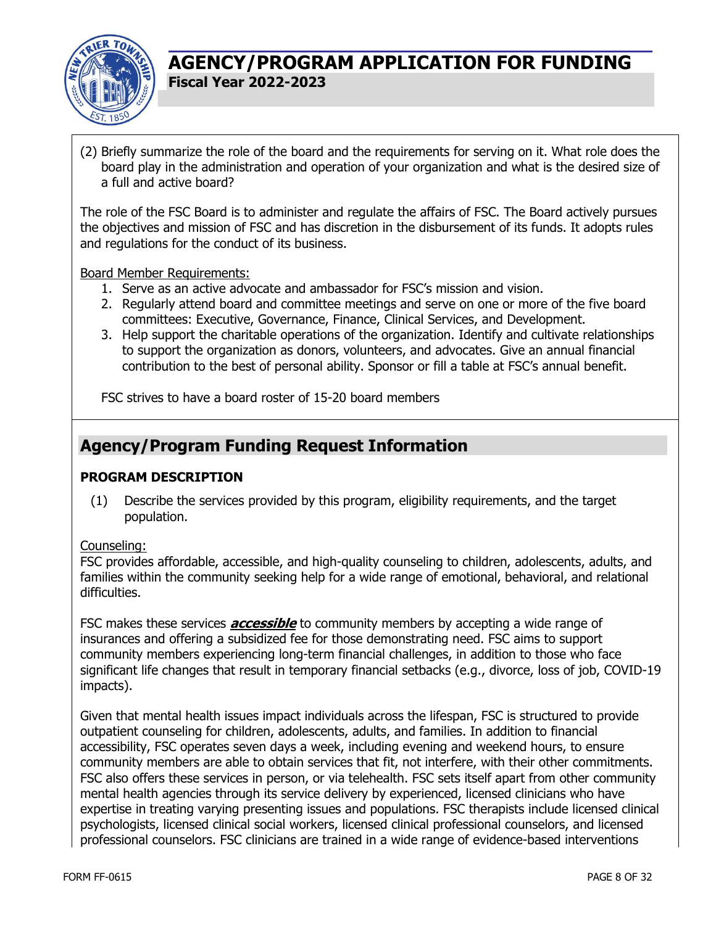

(2) Briefly summarize the role of the board and the requirements for serving on it. What role does the board play in the administration and operation of your organization and what is the desired size of a full and active board?

The role of the FSC Board is to administer and regulate the affairs of FSC. The Board actively pursues the objectives and mission of FSC and has discretion in the disbursement of its funds. It adopts rules and regulations for the conduct of its business.

Board Member Requirements:

- 1. Serve as an active advocate and ambassador for FSC's mission and vision.
- 2. Regularly attend board and committee meetings and serve on one or more of the five board committees: Executive, Governance, Finance, Clinical Services, and Development.
- 3. Help support the charitable operations of the organization. Identify and cultivate relationships to support the organization as donors, volunteers, and advocates. Give an annual financial contribution to the best of personal ability. Sponsor or fill a table at FSC's annual benefit.

FSC strives to have a board roster of 15-20 board members

# **Agency/Program Funding Request Information**

#### **PROGRAM DESCRIPTION**

(1) Describe the services provided by this program, eligibility requirements, and the target population.

Counseling:

FSC provides affordable, accessible, and high-quality counseling to children, adolescents, adults, and families within the community seeking help for a wide range of emotional, behavioral, and relational difficulties.

FSC makes these services **accessible** to community members by accepting a wide range of insurances and offering a subsidized fee for those demonstrating need. FSC aims to support community members experiencing long-term financial challenges, in addition to those who face significant life changes that result in temporary financial setbacks (e.g., divorce, loss of job, COVID-19 impacts).

Given that mental health issues impact individuals across the lifespan, FSC is structured to provide outpatient counseling for children, adolescents, adults, and families. In addition to financial accessibility, FSC operates seven days a week, including evening and weekend hours, to ensure community members are able to obtain services that fit, not interfere, with their other commitments. FSC also offers these services in person, or via telehealth. FSC sets itself apart from other community mental health agencies through its service delivery by experienced, licensed clinicians who have expertise in treating varying presenting issues and populations. FSC therapists include licensed clinical psychologists, licensed clinical social workers, licensed clinical professional counselors, and licensed professional counselors. FSC clinicians are trained in a wide range of evidence-based interventions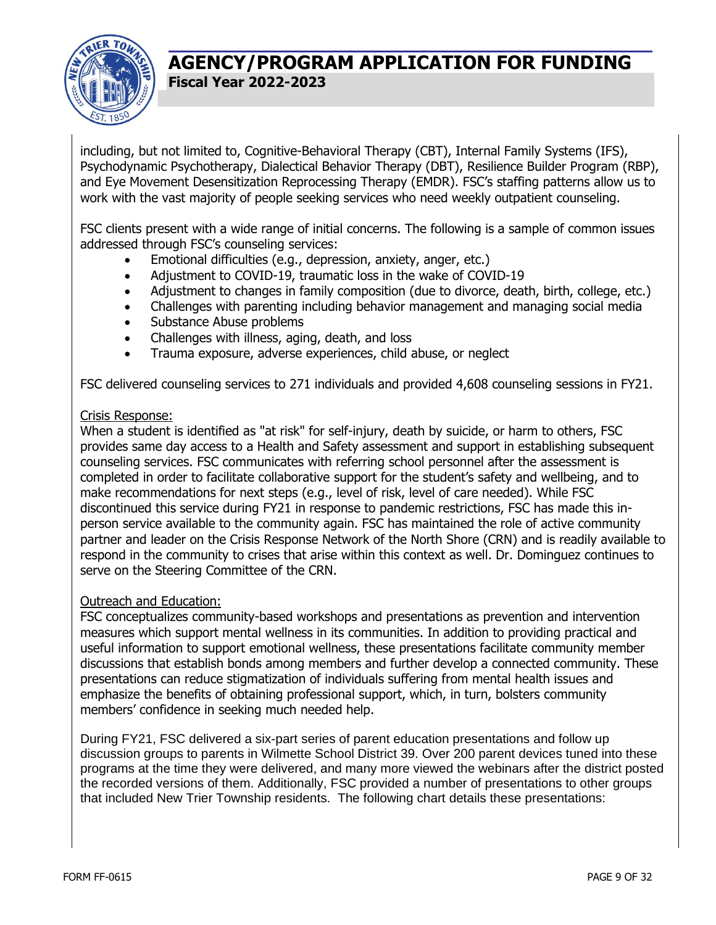

including, but not limited to, Cognitive-Behavioral Therapy (CBT), Internal Family Systems (IFS), Psychodynamic Psychotherapy, Dialectical Behavior Therapy (DBT), Resilience Builder Program (RBP), and Eye Movement Desensitization Reprocessing Therapy (EMDR). FSC's staffing patterns allow us to work with the vast majority of people seeking services who need weekly outpatient counseling.

FSC clients present with a wide range of initial concerns. The following is a sample of common issues addressed through FSC's counseling services:

- Emotional difficulties (e.g., depression, anxiety, anger, etc.)
- Adjustment to COVID-19, traumatic loss in the wake of COVID-19
- Adjustment to changes in family composition (due to divorce, death, birth, college, etc.)
- Challenges with parenting including behavior management and managing social media
- Substance Abuse problems
- Challenges with illness, aging, death, and loss
- Trauma exposure, adverse experiences, child abuse, or neglect

FSC delivered counseling services to 271 individuals and provided 4,608 counseling sessions in FY21.

#### Crisis Response:

When a student is identified as "at risk" for self-injury, death by suicide, or harm to others, FSC provides same day access to a Health and Safety assessment and support in establishing subsequent counseling services. FSC communicates with referring school personnel after the assessment is completed in order to facilitate collaborative support for the student's safety and wellbeing, and to make recommendations for next steps (e.g., level of risk, level of care needed). While FSC discontinued this service during FY21 in response to pandemic restrictions, FSC has made this inperson service available to the community again. FSC has maintained the role of active community partner and leader on the Crisis Response Network of the North Shore (CRN) and is readily available to respond in the community to crises that arise within this context as well. Dr. Dominguez continues to serve on the Steering Committee of the CRN.

#### Outreach and Education:

FSC conceptualizes community-based workshops and presentations as prevention and intervention measures which support mental wellness in its communities. In addition to providing practical and useful information to support emotional wellness, these presentations facilitate community member discussions that establish bonds among members and further develop a connected community. These presentations can reduce stigmatization of individuals suffering from mental health issues and emphasize the benefits of obtaining professional support, which, in turn, bolsters community members' confidence in seeking much needed help.

During FY21, FSC delivered a six-part series of parent education presentations and follow up discussion groups to parents in Wilmette School District 39. Over 200 parent devices tuned into these programs at the time they were delivered, and many more viewed the webinars after the district posted the recorded versions of them. Additionally, FSC provided a number of presentations to other groups that included New Trier Township residents. The following chart details these presentations: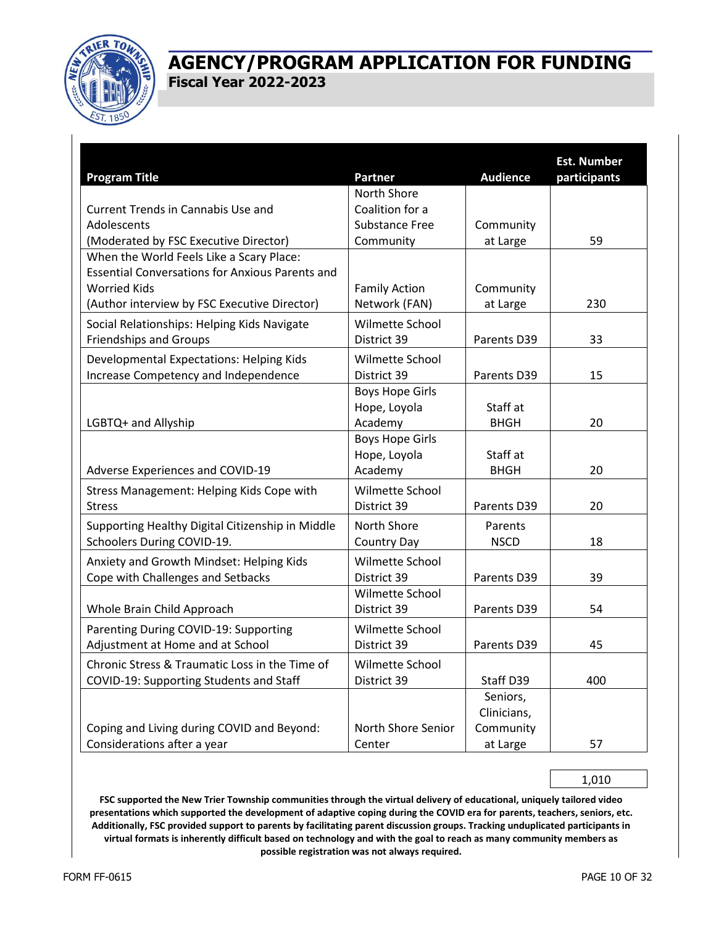

| <b>Program Title</b>                                                                                                                                                      | Partner                                           | <b>Audience</b>                                  | <b>Est. Number</b><br>participants |
|---------------------------------------------------------------------------------------------------------------------------------------------------------------------------|---------------------------------------------------|--------------------------------------------------|------------------------------------|
|                                                                                                                                                                           | North Shore                                       |                                                  |                                    |
| Current Trends in Cannabis Use and                                                                                                                                        | Coalition for a                                   |                                                  |                                    |
| Adolescents                                                                                                                                                               | <b>Substance Free</b>                             | Community                                        |                                    |
| (Moderated by FSC Executive Director)                                                                                                                                     | Community                                         | at Large                                         | 59                                 |
| When the World Feels Like a Scary Place:<br><b>Essential Conversations for Anxious Parents and</b><br><b>Worried Kids</b><br>(Author interview by FSC Executive Director) | <b>Family Action</b><br>Network (FAN)             | Community<br>at Large                            | 230                                |
| Social Relationships: Helping Kids Navigate                                                                                                                               | Wilmette School                                   |                                                  |                                    |
| <b>Friendships and Groups</b>                                                                                                                                             | District 39                                       | Parents D39                                      | 33                                 |
|                                                                                                                                                                           |                                                   |                                                  |                                    |
| Developmental Expectations: Helping Kids<br>Increase Competency and Independence                                                                                          | Wilmette School<br>District 39                    | Parents D39                                      | 15                                 |
|                                                                                                                                                                           | <b>Boys Hope Girls</b>                            |                                                  |                                    |
|                                                                                                                                                                           | Hope, Loyola                                      | Staff at                                         |                                    |
| LGBTQ+ and Allyship                                                                                                                                                       | Academy                                           | <b>BHGH</b>                                      | 20                                 |
| Adverse Experiences and COVID-19                                                                                                                                          | <b>Boys Hope Girls</b><br>Hope, Loyola<br>Academy | Staff at<br><b>BHGH</b>                          | 20                                 |
| Stress Management: Helping Kids Cope with                                                                                                                                 | Wilmette School                                   |                                                  |                                    |
| <b>Stress</b>                                                                                                                                                             | District 39                                       | Parents D39                                      | 20                                 |
| Supporting Healthy Digital Citizenship in Middle<br>Schoolers During COVID-19.                                                                                            | North Shore<br><b>Country Day</b>                 | Parents<br><b>NSCD</b>                           | 18                                 |
| Anxiety and Growth Mindset: Helping Kids<br>Cope with Challenges and Setbacks                                                                                             | Wilmette School<br>District 39                    | Parents D39                                      | 39                                 |
|                                                                                                                                                                           | Wilmette School                                   |                                                  |                                    |
| Whole Brain Child Approach                                                                                                                                                | District 39                                       | Parents D39                                      | 54                                 |
| Parenting During COVID-19: Supporting<br>Adjustment at Home and at School                                                                                                 | Wilmette School<br>District 39                    | Parents D39                                      | 45                                 |
| Chronic Stress & Traumatic Loss in the Time of<br>COVID-19: Supporting Students and Staff                                                                                 | Wilmette School<br>District 39                    | Staff D39                                        | 400                                |
| Coping and Living during COVID and Beyond:<br>Considerations after a year                                                                                                 | North Shore Senior<br>Center                      | Seniors,<br>Clinicians,<br>Community<br>at Large | 57                                 |

1,010

**FSC supported the New Trier Township communities through the virtual delivery of educational, uniquely tailored video presentations which supported the development of adaptive coping during the COVID era for parents, teachers, seniors, etc. Additionally, FSC provided support to parents by facilitating parent discussion groups. Tracking unduplicated participants in virtual formats is inherently difficult based on technology and with the goal to reach as many community members as possible registration was not always required.**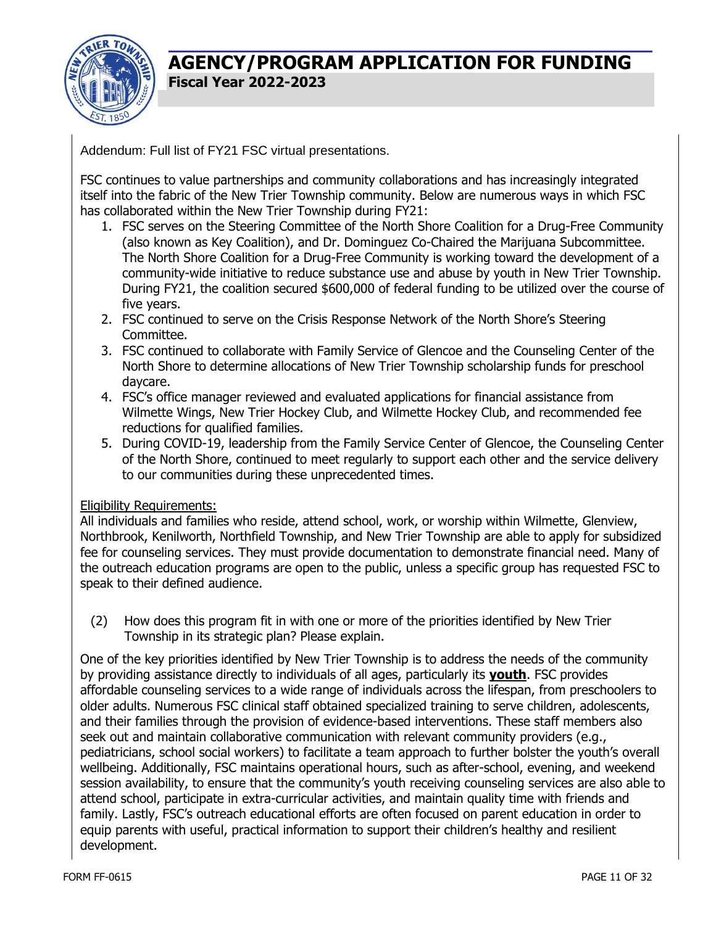

Addendum: Full list of FY21 FSC virtual presentations.

FSC continues to value partnerships and community collaborations and has increasingly integrated itself into the fabric of the New Trier Township community. Below are numerous ways in which FSC has collaborated within the New Trier Township during FY21:

- 1. FSC serves on the Steering Committee of the North Shore Coalition for a Drug-Free Community (also known as Key Coalition), and Dr. Dominguez Co-Chaired the Marijuana Subcommittee. The North Shore Coalition for a Drug-Free Community is working toward the development of a community-wide initiative to reduce substance use and abuse by youth in New Trier Township. During FY21, the coalition secured \$600,000 of federal funding to be utilized over the course of five years.
- 2. FSC continued to serve on the Crisis Response Network of the North Shore's Steering Committee.
- 3. FSC continued to collaborate with Family Service of Glencoe and the Counseling Center of the North Shore to determine allocations of New Trier Township scholarship funds for preschool daycare.
- 4. FSC's office manager reviewed and evaluated applications for financial assistance from Wilmette Wings, New Trier Hockey Club, and Wilmette Hockey Club, and recommended fee reductions for qualified families.
- 5. During COVID-19, leadership from the Family Service Center of Glencoe, the Counseling Center of the North Shore, continued to meet regularly to support each other and the service delivery to our communities during these unprecedented times.

#### Eligibility Requirements:

All individuals and families who reside, attend school, work, or worship within Wilmette, Glenview, Northbrook, Kenilworth, Northfield Township, and New Trier Township are able to apply for subsidized fee for counseling services. They must provide documentation to demonstrate financial need. Many of the outreach education programs are open to the public, unless a specific group has requested FSC to speak to their defined audience.

(2) How does this program fit in with one or more of the priorities identified by New Trier Township in its strategic plan? Please explain.

One of the key priorities identified by New Trier Township is to address the needs of the community by providing assistance directly to individuals of all ages, particularly its **youth**. FSC provides affordable counseling services to a wide range of individuals across the lifespan, from preschoolers to older adults. Numerous FSC clinical staff obtained specialized training to serve children, adolescents, and their families through the provision of evidence-based interventions. These staff members also seek out and maintain collaborative communication with relevant community providers (e.g., pediatricians, school social workers) to facilitate a team approach to further bolster the youth's overall wellbeing. Additionally, FSC maintains operational hours, such as after-school, evening, and weekend session availability, to ensure that the community's youth receiving counseling services are also able to attend school, participate in extra-curricular activities, and maintain quality time with friends and family. Lastly, FSC's outreach educational efforts are often focused on parent education in order to equip parents with useful, practical information to support their children's healthy and resilient development.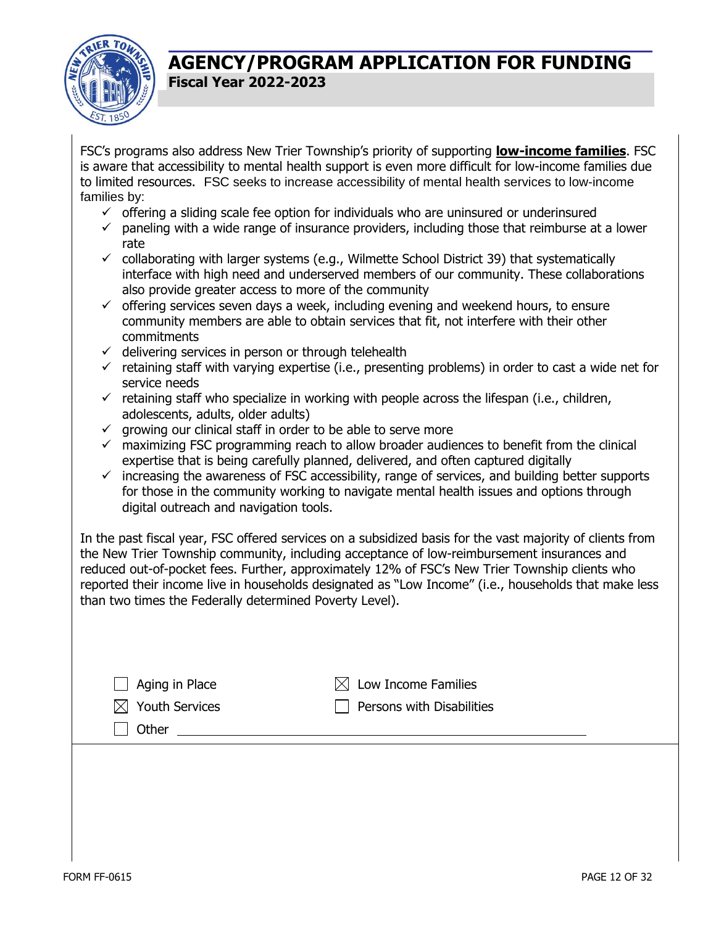

FSC's programs also address New Trier Township's priority of supporting **low-income families**. FSC is aware that accessibility to mental health support is even more difficult for low-income families due to limited resources. FSC seeks to increase accessibility of mental health services to low-income families by:

- $\checkmark$  offering a sliding scale fee option for individuals who are uninsured or underinsured
- $\checkmark$  paneling with a wide range of insurance providers, including those that reimburse at a lower rate
- $\checkmark$  collaborating with larger systems (e.g., Wilmette School District 39) that systematically interface with high need and underserved members of our community. These collaborations also provide greater access to more of the community
- $\checkmark$  offering services seven days a week, including evening and weekend hours, to ensure community members are able to obtain services that fit, not interfere with their other commitments
- $\checkmark$  delivering services in person or through telehealth
- $\checkmark$  retaining staff with varying expertise (i.e., presenting problems) in order to cast a wide net for service needs
- $\checkmark$  retaining staff who specialize in working with people across the lifespan (i.e., children, adolescents, adults, older adults)
- $\checkmark$  growing our clinical staff in order to be able to serve more
- $\checkmark$  maximizing FSC programming reach to allow broader audiences to benefit from the clinical expertise that is being carefully planned, delivered, and often captured digitally
- $\checkmark$  increasing the awareness of FSC accessibility, range of services, and building better supports for those in the community working to navigate mental health issues and options through digital outreach and navigation tools.

In the past fiscal year, FSC offered services on a subsidized basis for the vast majority of clients from the New Trier Township community, including acceptance of low-reimbursement insurances and reduced out-of-pocket fees. Further, approximately 12% of FSC's New Trier Township clients who reported their income live in households designated as "Low Income" (i.e., households that make less than two times the Federally determined Poverty Level).

| $\Box$ Aging in Place      | $\boxtimes$ Low Income Families  |
|----------------------------|----------------------------------|
| $\boxtimes$ Youth Services | $\Box$ Persons with Disabilities |
| Other                      |                                  |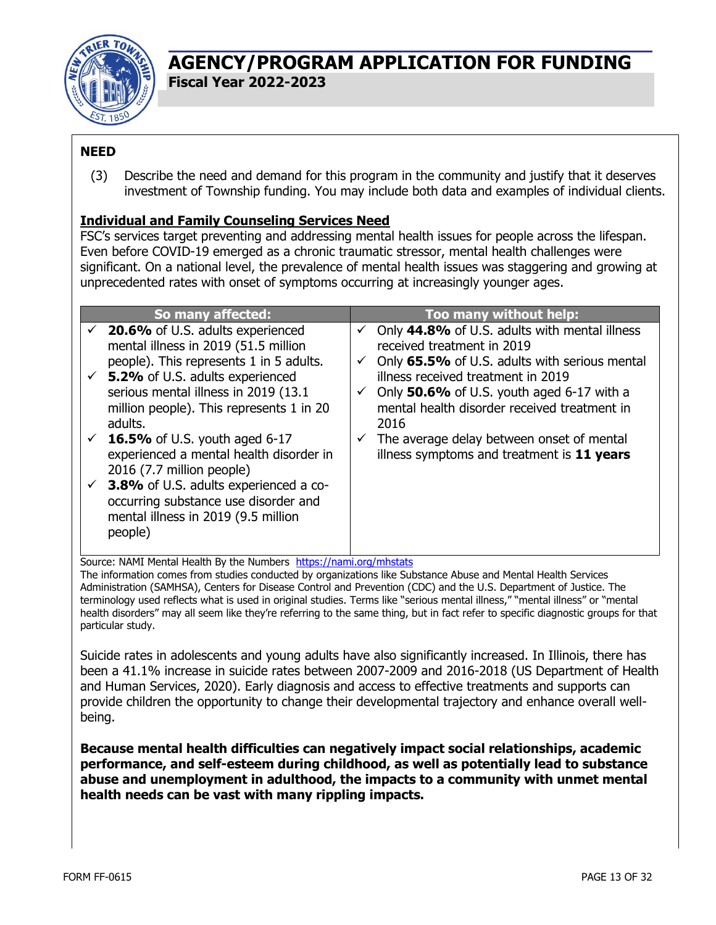

#### **NEED**

(3) Describe the need and demand for this program in the community and justify that it deserves investment of Township funding. You may include both data and examples of individual clients.

#### **Individual and Family Counseling Services Need**

FSC's services target preventing and addressing mental health issues for people across the lifespan. Even before COVID-19 emerged as a chronic traumatic stressor, mental health challenges were significant. On a national level, the prevalence of mental health issues was staggering and growing at unprecedented rates with onset of symptoms occurring at increasingly younger ages.

| So many affected:                                                                                                                                                                                                                                                                                                                                                                                                                                                                                                                                      |                                        | Too many without help:                                                                                                                                                                                                                                                                                                                                             |
|--------------------------------------------------------------------------------------------------------------------------------------------------------------------------------------------------------------------------------------------------------------------------------------------------------------------------------------------------------------------------------------------------------------------------------------------------------------------------------------------------------------------------------------------------------|----------------------------------------|--------------------------------------------------------------------------------------------------------------------------------------------------------------------------------------------------------------------------------------------------------------------------------------------------------------------------------------------------------------------|
| $\checkmark$ 20.6% of U.S. adults experienced<br>mental illness in 2019 (51.5 million<br>people). This represents 1 in 5 adults.<br>$\checkmark$ 5.2% of U.S. adults experienced<br>serious mental illness in 2019 (13.1)<br>million people). This represents 1 in 20<br>adults.<br>$\checkmark$ 16.5% of U.S. youth aged 6-17<br>experienced a mental health disorder in<br>2016 (7.7 million people)<br>$\checkmark$ 3.8% of U.S. adults experienced a co-<br>occurring substance use disorder and<br>mental illness in 2019 (9.5 million<br>people) | ✓<br>✓<br>$\checkmark$<br>$\checkmark$ | Only 44.8% of U.S. adults with mental illness<br>received treatment in 2019<br>Only 65.5% of U.S. adults with serious mental<br>illness received treatment in 2019<br>Only 50.6% of U.S. youth aged 6-17 with a<br>mental health disorder received treatment in<br>2016<br>The average delay between onset of mental<br>illness symptoms and treatment is 11 years |

Source: NAMI Mental Health By the Numbers <https://nami.org/mhstats>

The information comes from studies conducted by organizations like Substance Abuse and Mental Health Services Administration (SAMHSA), Centers for Disease Control and Prevention (CDC) and the U.S. Department of Justice. The terminology used reflects what is used in original studies. Terms like "serious mental illness," "mental illness" or "mental health disorders" may all seem like they're referring to the same thing, but in fact refer to specific diagnostic groups for that particular study.

Suicide rates in adolescents and young adults have also significantly increased. In Illinois, there has been a 41.1% increase in suicide rates between 2007-2009 and 2016-2018 (US Department of Health and Human Services, 2020). Early diagnosis and access to effective treatments and supports can provide children the opportunity to change their developmental trajectory and enhance overall wellbeing.

**Because mental health difficulties can negatively impact social relationships, academic performance, and self-esteem during childhood, as well as potentially lead to substance abuse and unemployment in adulthood, the impacts to a community with unmet mental health needs can be vast with many rippling impacts.**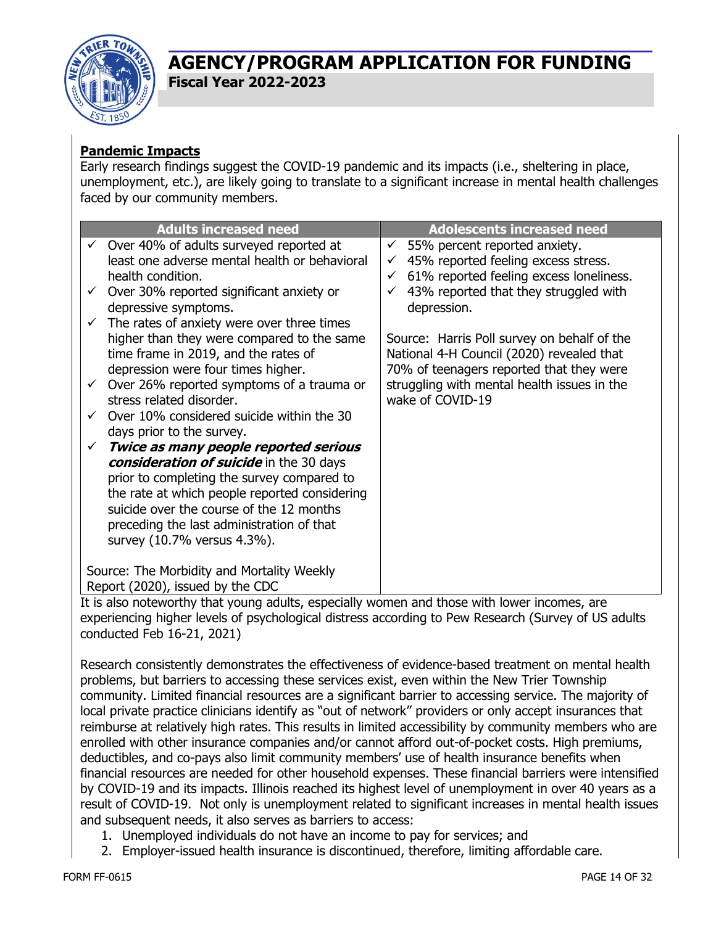

#### **Pandemic Impacts**

Early research findings suggest the COVID-19 pandemic and its impacts (i.e., sheltering in place, unemployment, etc.), are likely going to translate to a significant increase in mental health challenges faced by our community members.

| <b>Adults increased need</b>                                                                                                                                                                                                                                                                                                                                                                                                                                                                                                                                                                                                                                                                                                                                                                                  | <b>Adolescents increased need</b>                                                                                                                                                                                                                                                                                                                                                                                                  |
|---------------------------------------------------------------------------------------------------------------------------------------------------------------------------------------------------------------------------------------------------------------------------------------------------------------------------------------------------------------------------------------------------------------------------------------------------------------------------------------------------------------------------------------------------------------------------------------------------------------------------------------------------------------------------------------------------------------------------------------------------------------------------------------------------------------|------------------------------------------------------------------------------------------------------------------------------------------------------------------------------------------------------------------------------------------------------------------------------------------------------------------------------------------------------------------------------------------------------------------------------------|
| Over 40% of adults surveyed reported at<br>$\checkmark$<br>least one adverse mental health or behavioral<br>health condition.<br>Over 30% reported significant anxiety or<br>depressive symptoms.<br>The rates of anxiety were over three times<br>higher than they were compared to the same<br>time frame in 2019, and the rates of<br>depression were four times higher.<br>Over 26% reported symptoms of a trauma or<br>$\checkmark$<br>stress related disorder.<br>Over 10% considered suicide within the 30<br>$\checkmark$<br>days prior to the survey.<br>Twice as many people reported serious<br>$\checkmark$<br>consideration of suicide in the 30 days<br>prior to completing the survey compared to<br>the rate at which people reported considering<br>suicide over the course of the 12 months | 55% percent reported anxiety.<br>$\checkmark$<br>45% reported feeling excess stress.<br>$\checkmark$<br>61% reported feeling excess loneliness.<br>$\checkmark$<br>43% reported that they struggled with<br>depression.<br>Source: Harris Poll survey on behalf of the<br>National 4-H Council (2020) revealed that<br>70% of teenagers reported that they were<br>struggling with mental health issues in the<br>wake of COVID-19 |
| preceding the last administration of that<br>survey (10.7% versus 4.3%).<br>Source: The Morbidity and Mortality Weekly<br>Report (2020), issued by the CDC                                                                                                                                                                                                                                                                                                                                                                                                                                                                                                                                                                                                                                                    |                                                                                                                                                                                                                                                                                                                                                                                                                                    |

It is also noteworthy that young adults, especially women and those with lower incomes, are experiencing higher levels of psychological distress according to Pew Research (Survey of US adults conducted Feb 16-21, 2021)

Research consistently demonstrates the effectiveness of evidence-based treatment on mental health problems, but barriers to accessing these services exist, even within the New Trier Township community. Limited financial resources are a significant barrier to accessing service. The majority of local private practice clinicians identify as "out of network" providers or only accept insurances that reimburse at relatively high rates. This results in limited accessibility by community members who are enrolled with other insurance companies and/or cannot afford out-of-pocket costs. High premiums, deductibles, and co-pays also limit community members' use of health insurance benefits when financial resources are needed for other household expenses. These financial barriers were intensified by COVID-19 and its impacts. Illinois reached its highest level of unemployment in over 40 years as a result of COVID-19. Not only is unemployment related to significant increases in mental health issues and subsequent needs, it also serves as barriers to access:

- 1. Unemployed individuals do not have an income to pay for services; and
- 2. Employer-issued health insurance is discontinued, therefore, limiting affordable care.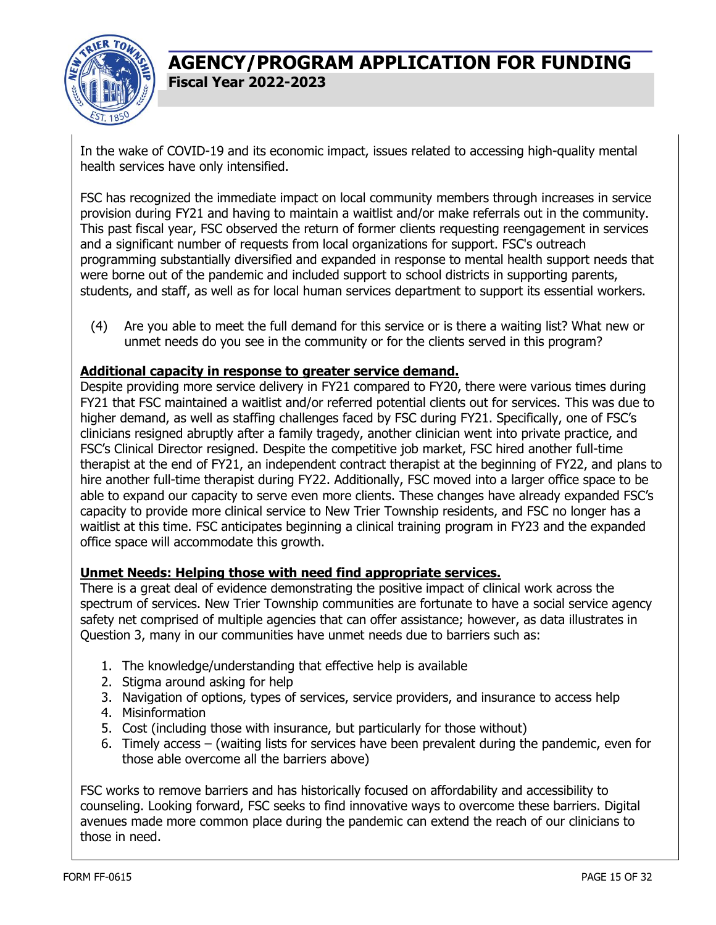

In the wake of COVID-19 and its economic impact, issues related to accessing high-quality mental health services have only intensified.

FSC has recognized the immediate impact on local community members through increases in service provision during FY21 and having to maintain a waitlist and/or make referrals out in the community. This past fiscal year, FSC observed the return of former clients requesting reengagement in services and a significant number of requests from local organizations for support. FSC's outreach programming substantially diversified and expanded in response to mental health support needs that were borne out of the pandemic and included support to school districts in supporting parents, students, and staff, as well as for local human services department to support its essential workers.

(4) Are you able to meet the full demand for this service or is there a waiting list? What new or unmet needs do you see in the community or for the clients served in this program?

#### **Additional capacity in response to greater service demand.**

Despite providing more service delivery in FY21 compared to FY20, there were various times during FY21 that FSC maintained a waitlist and/or referred potential clients out for services. This was due to higher demand, as well as staffing challenges faced by FSC during FY21. Specifically, one of FSC's clinicians resigned abruptly after a family tragedy, another clinician went into private practice, and FSC's Clinical Director resigned. Despite the competitive job market, FSC hired another full-time therapist at the end of FY21, an independent contract therapist at the beginning of FY22, and plans to hire another full-time therapist during FY22. Additionally, FSC moved into a larger office space to be able to expand our capacity to serve even more clients. These changes have already expanded FSC's capacity to provide more clinical service to New Trier Township residents, and FSC no longer has a waitlist at this time. FSC anticipates beginning a clinical training program in FY23 and the expanded office space will accommodate this growth.

#### **Unmet Needs: Helping those with need find appropriate services.**

There is a great deal of evidence demonstrating the positive impact of clinical work across the spectrum of services. New Trier Township communities are fortunate to have a social service agency safety net comprised of multiple agencies that can offer assistance; however, as data illustrates in Question 3, many in our communities have unmet needs due to barriers such as:

- 1. The knowledge/understanding that effective help is available
- 2. Stigma around asking for help
- 3. Navigation of options, types of services, service providers, and insurance to access help
- 4. Misinformation
- 5. Cost (including those with insurance, but particularly for those without)
- 6. Timely access (waiting lists for services have been prevalent during the pandemic, even for those able overcome all the barriers above)

FSC works to remove barriers and has historically focused on affordability and accessibility to counseling. Looking forward, FSC seeks to find innovative ways to overcome these barriers. Digital avenues made more common place during the pandemic can extend the reach of our clinicians to those in need.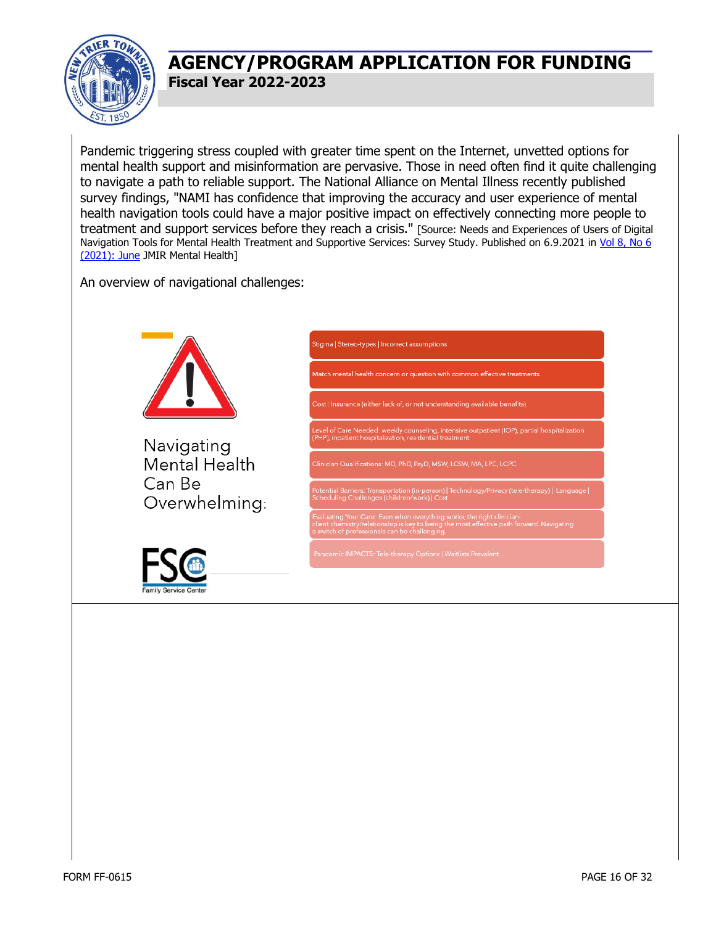

Pandemic triggering stress coupled with greater time spent on the Internet, unvetted options for mental health support and misinformation are pervasive. Those in need often find it quite challenging to navigate a path to reliable support. The National Alliance on Mental Illness recently published survey findings, "NAMI has confidence that improving the accuracy and user experience of mental health navigation tools could have a major positive impact on effectively connecting more people to treatment and support services before they reach a crisis." [Source: Needs and Experiences of Users of Digital Navigation Tools for Mental Health Treatment and Supportive Services: Survey Study. Published on 6.9.2021 in [Vol 8, No 6](https://mental.jmir.org/2021/6/e27022)  [\(2021\): June](https://mental.jmir.org/2021/6/e27022) JMIR Mental Health]

An overview of navigational challenges:

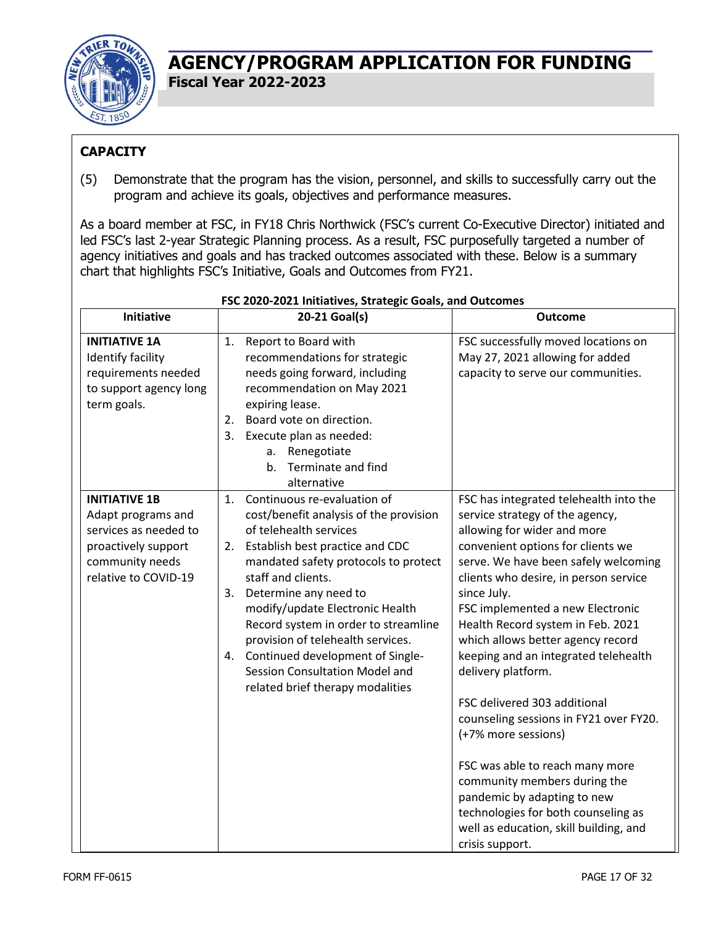

#### **CAPACITY**

(5) Demonstrate that the program has the vision, personnel, and skills to successfully carry out the program and achieve its goals, objectives and performance measures.

As a board member at FSC, in FY18 Chris Northwick (FSC's current Co-Executive Director) initiated and led FSC's last 2-year Strategic Planning process. As a result, FSC purposefully targeted a number of agency initiatives and goals and has tracked outcomes associated with these. Below is a summary chart that highlights FSC's Initiative, Goals and Outcomes from FY21.

| <b>Initiative</b>      |    | 20-21 Goal(s)                                                            | <b>Outcome</b>                                                            |
|------------------------|----|--------------------------------------------------------------------------|---------------------------------------------------------------------------|
| <b>INITIATIVE 1A</b>   | 1. | Report to Board with                                                     | FSC successfully moved locations on                                       |
| Identify facility      |    | recommendations for strategic                                            | May 27, 2021 allowing for added                                           |
| requirements needed    |    | needs going forward, including                                           | capacity to serve our communities.                                        |
| to support agency long |    | recommendation on May 2021                                               |                                                                           |
| term goals.            |    | expiring lease.                                                          |                                                                           |
|                        | 2. | Board vote on direction.                                                 |                                                                           |
|                        | 3. | Execute plan as needed:                                                  |                                                                           |
|                        |    | a. Renegotiate                                                           |                                                                           |
|                        |    | Terminate and find<br>b.                                                 |                                                                           |
|                        |    | alternative                                                              |                                                                           |
| <b>INITIATIVE 1B</b>   | 1. | Continuous re-evaluation of                                              | FSC has integrated telehealth into the                                    |
| Adapt programs and     |    | cost/benefit analysis of the provision                                   | service strategy of the agency,                                           |
| services as needed to  |    | of telehealth services                                                   | allowing for wider and more                                               |
| proactively support    |    | 2. Establish best practice and CDC                                       | convenient options for clients we                                         |
| community needs        |    | mandated safety protocols to protect                                     | serve. We have been safely welcoming                                      |
| relative to COVID-19   |    | staff and clients.                                                       | clients who desire, in person service                                     |
|                        | 3. | Determine any need to                                                    | since July.                                                               |
|                        |    | modify/update Electronic Health                                          | FSC implemented a new Electronic                                          |
|                        |    | Record system in order to streamline                                     | Health Record system in Feb. 2021                                         |
|                        |    | provision of telehealth services.<br>4. Continued development of Single- | which allows better agency record<br>keeping and an integrated telehealth |
|                        |    | Session Consultation Model and                                           | delivery platform.                                                        |
|                        |    | related brief therapy modalities                                         |                                                                           |
|                        |    |                                                                          | FSC delivered 303 additional                                              |
|                        |    |                                                                          | counseling sessions in FY21 over FY20.                                    |
|                        |    |                                                                          | (+7% more sessions)                                                       |
|                        |    |                                                                          |                                                                           |
|                        |    |                                                                          | FSC was able to reach many more                                           |
|                        |    |                                                                          | community members during the                                              |
|                        |    |                                                                          | pandemic by adapting to new                                               |
|                        |    |                                                                          | technologies for both counseling as                                       |
|                        |    |                                                                          | well as education, skill building, and                                    |
|                        |    |                                                                          | crisis support.                                                           |

#### **FSC 2020-2021 Initiatives, Strategic Goals, and Outcomes**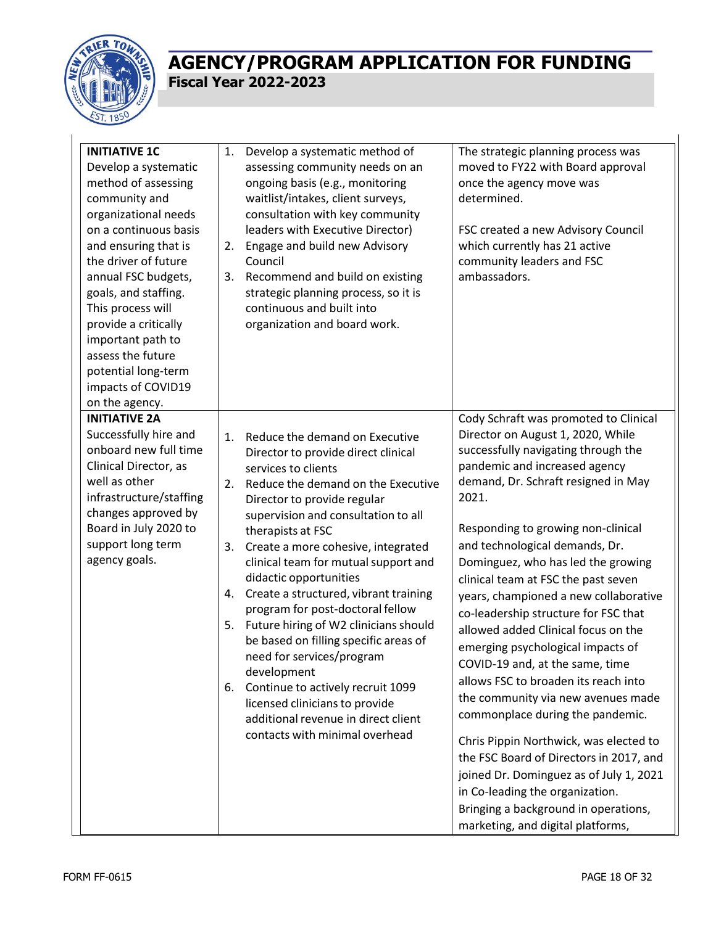

| <b>INITIATIVE 1C</b><br>Develop a systematic<br>method of assessing<br>community and<br>organizational needs<br>on a continuous basis<br>and ensuring that is<br>the driver of future<br>annual FSC budgets,<br>goals, and staffing.<br>This process will<br>provide a critically<br>important path to<br>assess the future<br>potential long-term<br>impacts of COVID19<br>on the agency. | 1.<br>3.                         | Develop a systematic method of<br>assessing community needs on an<br>ongoing basis (e.g., monitoring<br>waitlist/intakes, client surveys,<br>consultation with key community<br>leaders with Executive Director)<br>2. Engage and build new Advisory<br>Council<br>Recommend and build on existing<br>strategic planning process, so it is<br>continuous and built into<br>organization and board work.                                                                                                                                                                                                                                                                                          | The strategic planning process was<br>moved to FY22 with Board approval<br>once the agency move was<br>determined.<br>FSC created a new Advisory Council<br>which currently has 21 active<br>community leaders and FSC<br>ambassadors.                                                                                                                                                                                                                                                                                                                                                                                                                                                                                                                                                                                                                                                                                    |
|--------------------------------------------------------------------------------------------------------------------------------------------------------------------------------------------------------------------------------------------------------------------------------------------------------------------------------------------------------------------------------------------|----------------------------------|--------------------------------------------------------------------------------------------------------------------------------------------------------------------------------------------------------------------------------------------------------------------------------------------------------------------------------------------------------------------------------------------------------------------------------------------------------------------------------------------------------------------------------------------------------------------------------------------------------------------------------------------------------------------------------------------------|---------------------------------------------------------------------------------------------------------------------------------------------------------------------------------------------------------------------------------------------------------------------------------------------------------------------------------------------------------------------------------------------------------------------------------------------------------------------------------------------------------------------------------------------------------------------------------------------------------------------------------------------------------------------------------------------------------------------------------------------------------------------------------------------------------------------------------------------------------------------------------------------------------------------------|
| <b>INITIATIVE 2A</b><br>Successfully hire and<br>onboard new full time<br>Clinical Director, as<br>well as other<br>infrastructure/staffing<br>changes approved by<br>Board in July 2020 to<br>support long term<br>agency goals.                                                                                                                                                          | 1.<br>2.<br>3.<br>4.<br>5.<br>6. | Reduce the demand on Executive<br>Director to provide direct clinical<br>services to clients<br>Reduce the demand on the Executive<br>Director to provide regular<br>supervision and consultation to all<br>therapists at FSC<br>Create a more cohesive, integrated<br>clinical team for mutual support and<br>didactic opportunities<br>Create a structured, vibrant training<br>program for post-doctoral fellow<br>Future hiring of W2 clinicians should<br>be based on filling specific areas of<br>need for services/program<br>development<br>Continue to actively recruit 1099<br>licensed clinicians to provide<br>additional revenue in direct client<br>contacts with minimal overhead | Cody Schraft was promoted to Clinical<br>Director on August 1, 2020, While<br>successfully navigating through the<br>pandemic and increased agency<br>demand, Dr. Schraft resigned in May<br>2021.<br>Responding to growing non-clinical<br>and technological demands, Dr.<br>Dominguez, who has led the growing<br>clinical team at FSC the past seven<br>years, championed a new collaborative<br>co-leadership structure for FSC that<br>allowed added Clinical focus on the<br>emerging psychological impacts of<br>COVID-19 and, at the same, time<br>allows FSC to broaden its reach into<br>the community via new avenues made<br>commonplace during the pandemic.<br>Chris Pippin Northwick, was elected to<br>the FSC Board of Directors in 2017, and<br>joined Dr. Dominguez as of July 1, 2021<br>in Co-leading the organization.<br>Bringing a background in operations,<br>marketing, and digital platforms, |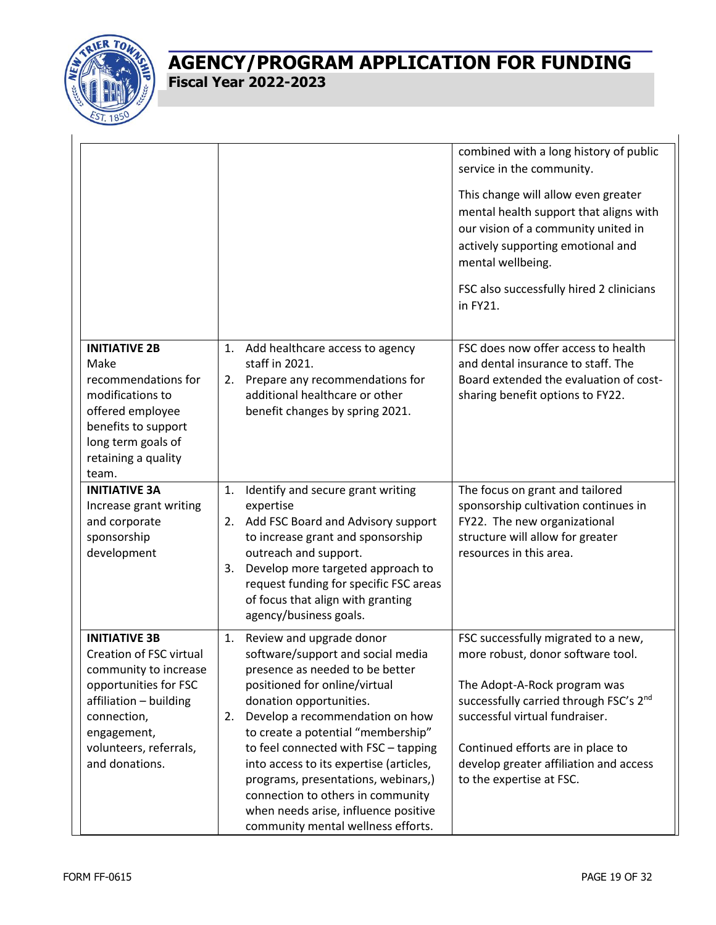

|                                                                                                                                                                                                       |                                                                                                                                                                                                                                                                                                                                                                                                                                                                                                | combined with a long history of public<br>service in the community.                                                                                                                                                                                                                                         |
|-------------------------------------------------------------------------------------------------------------------------------------------------------------------------------------------------------|------------------------------------------------------------------------------------------------------------------------------------------------------------------------------------------------------------------------------------------------------------------------------------------------------------------------------------------------------------------------------------------------------------------------------------------------------------------------------------------------|-------------------------------------------------------------------------------------------------------------------------------------------------------------------------------------------------------------------------------------------------------------------------------------------------------------|
|                                                                                                                                                                                                       |                                                                                                                                                                                                                                                                                                                                                                                                                                                                                                | This change will allow even greater<br>mental health support that aligns with<br>our vision of a community united in<br>actively supporting emotional and<br>mental wellbeing.<br>FSC also successfully hired 2 clinicians<br>in FY21.                                                                      |
| <b>INITIATIVE 2B</b><br>Make<br>recommendations for<br>modifications to<br>offered employee<br>benefits to support<br>long term goals of<br>retaining a quality<br>team.                              | Add healthcare access to agency<br>1.<br>staff in 2021.<br>2. Prepare any recommendations for<br>additional healthcare or other<br>benefit changes by spring 2021.                                                                                                                                                                                                                                                                                                                             | FSC does now offer access to health<br>and dental insurance to staff. The<br>Board extended the evaluation of cost-<br>sharing benefit options to FY22.                                                                                                                                                     |
| <b>INITIATIVE 3A</b><br>Increase grant writing<br>and corporate<br>sponsorship<br>development                                                                                                         | Identify and secure grant writing<br>1.<br>expertise<br>2. Add FSC Board and Advisory support<br>to increase grant and sponsorship<br>outreach and support.<br>Develop more targeted approach to<br>3.<br>request funding for specific FSC areas<br>of focus that align with granting<br>agency/business goals.                                                                                                                                                                                | The focus on grant and tailored<br>sponsorship cultivation continues in<br>FY22. The new organizational<br>structure will allow for greater<br>resources in this area.                                                                                                                                      |
| <b>INITIATIVE 3B</b><br>Creation of FSC virtual<br>community to increase<br>opportunities for FSC<br>affiliation - building<br>connection,<br>engagement,<br>volunteers, referrals,<br>and donations. | Review and upgrade donor<br>1.<br>software/support and social media<br>presence as needed to be better<br>positioned for online/virtual<br>donation opportunities.<br>Develop a recommendation on how<br>2.<br>to create a potential "membership"<br>to feel connected with FSC - tapping<br>into access to its expertise (articles,<br>programs, presentations, webinars,)<br>connection to others in community<br>when needs arise, influence positive<br>community mental wellness efforts. | FSC successfully migrated to a new,<br>more robust, donor software tool.<br>The Adopt-A-Rock program was<br>successfully carried through FSC's 2 <sup>nd</sup><br>successful virtual fundraiser.<br>Continued efforts are in place to<br>develop greater affiliation and access<br>to the expertise at FSC. |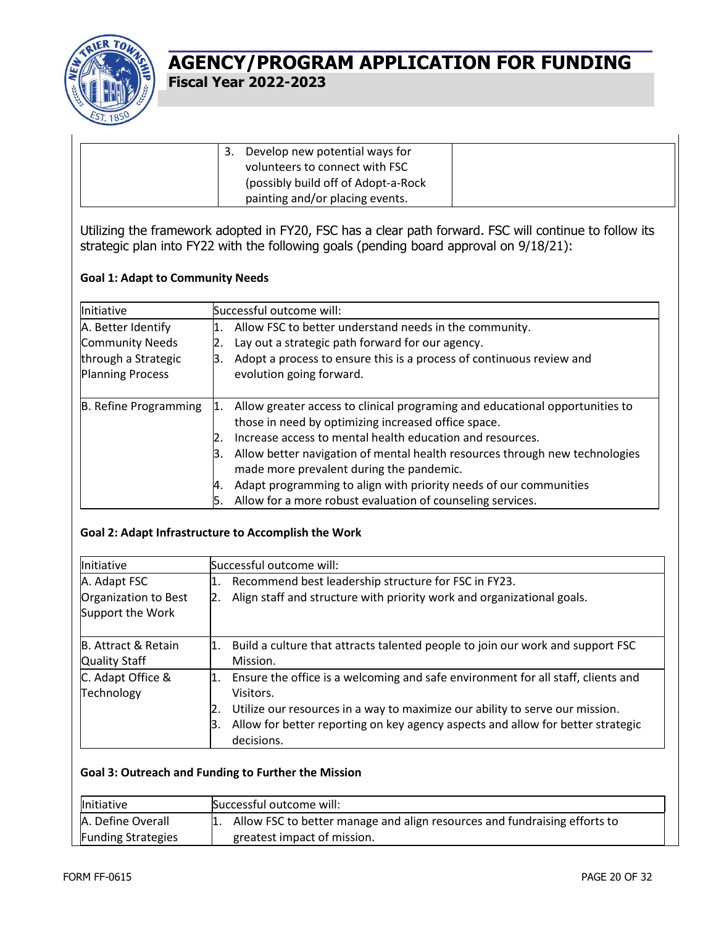

| Develop new potential ways for       |  |
|--------------------------------------|--|
| volunteers to connect with FSC       |  |
| (possibly build off of Adopt-a-Rock) |  |
| painting and/or placing events.      |  |

Utilizing the framework adopted in FY20, FSC has a clear path forward. FSC will continue to follow its strategic plan into FY22 with the following goals (pending board approval on 9/18/21):

#### **Goal 1: Adapt to Community Needs**

| <b>Initiative</b>       |     | Successful outcome will:                                                     |
|-------------------------|-----|------------------------------------------------------------------------------|
| A. Better Identify      | l1. | Allow FSC to better understand needs in the community.                       |
| Community Needs         |     | Lay out a strategic path forward for our agency.                             |
| through a Strategic     | Β.  | Adopt a process to ensure this is a process of continuous review and         |
| <b>Planning Process</b> |     | evolution going forward.                                                     |
|                         |     |                                                                              |
| B. Refine Programming   | 1.  | Allow greater access to clinical programing and educational opportunities to |
|                         |     | those in need by optimizing increased office space.                          |
|                         |     | Increase access to mental health education and resources.                    |
|                         |     | Allow better navigation of mental health resources through new technologies  |
|                         |     | made more prevalent during the pandemic.                                     |
|                         | И.  | Adapt programming to align with priority needs of our communities            |
|                         | 15. | Allow for a more robust evaluation of counseling services.                   |

#### **Goal 2: Adapt Infrastructure to Accomplish the Work**

| Initiative           |    | Successful outcome will:                                                            |  |  |  |  |
|----------------------|----|-------------------------------------------------------------------------------------|--|--|--|--|
| A. Adapt FSC         | 1. | Recommend best leadership structure for FSC in FY23.                                |  |  |  |  |
| Organization to Best | 2. | Align staff and structure with priority work and organizational goals.              |  |  |  |  |
| Support the Work     |    |                                                                                     |  |  |  |  |
| B. Attract & Retain  | 1. | Build a culture that attracts talented people to join our work and support FSC      |  |  |  |  |
| <b>Quality Staff</b> |    | Mission.                                                                            |  |  |  |  |
| C. Adapt Office &    |    | 1. Ensure the office is a welcoming and safe environment for all staff, clients and |  |  |  |  |
| Technology           |    | Visitors.                                                                           |  |  |  |  |
|                      |    | Utilize our resources in a way to maximize our ability to serve our mission.        |  |  |  |  |
|                      | 3. | Allow for better reporting on key agency aspects and allow for better strategic     |  |  |  |  |
|                      |    | decisions.                                                                          |  |  |  |  |

#### **Goal 3: Outreach and Funding to Further the Mission**

| <b>Initiative</b>         | Successful outcome will:                                                     |  |  |  |
|---------------------------|------------------------------------------------------------------------------|--|--|--|
| A. Define Overall         | 1. Allow FSC to better manage and align resources and fundraising efforts to |  |  |  |
| <b>Funding Strategies</b> | greatest impact of mission.                                                  |  |  |  |

 $\mathbf{I}$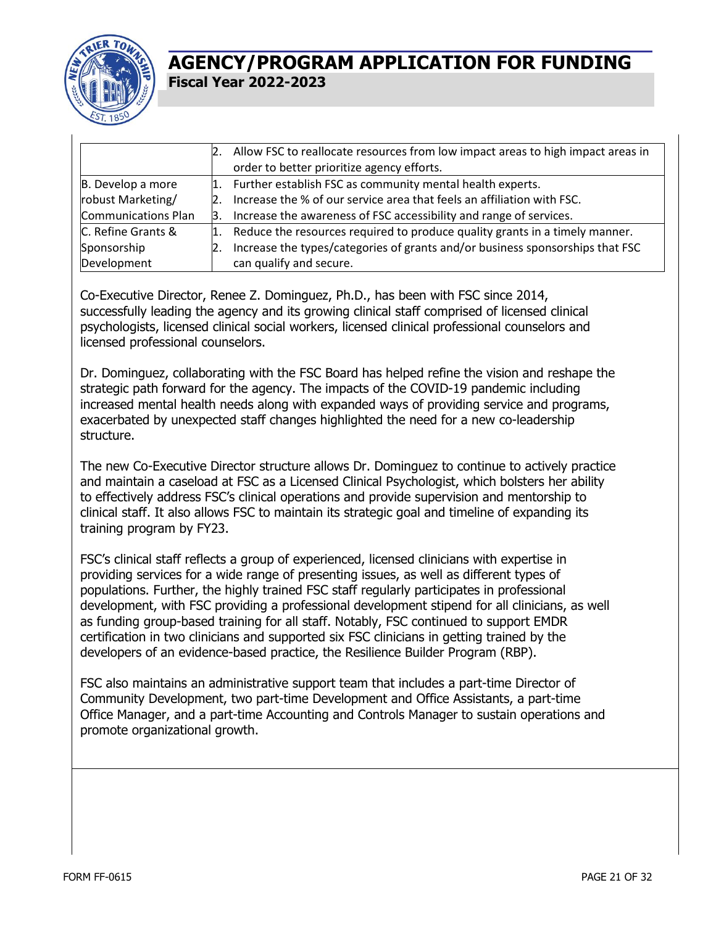

|                     |     | Allow FSC to reallocate resources from low impact areas to high impact areas in |
|---------------------|-----|---------------------------------------------------------------------------------|
|                     |     | order to better prioritize agency efforts.                                      |
| B. Develop a more   | 1.  | Further establish FSC as community mental health experts.                       |
| robust Marketing/   | 12. | Increase the % of our service area that feels an affiliation with FSC.          |
| Communications Plan |     | Increase the awareness of FSC accessibility and range of services.              |
| C. Refine Grants &  | 1.  | Reduce the resources required to produce quality grants in a timely manner.     |
| Sponsorship         | 2.  | Increase the types/categories of grants and/or business sponsorships that FSC   |
| Development         |     | can qualify and secure.                                                         |

Co-Executive Director, Renee Z. Dominguez, Ph.D., has been with FSC since 2014, successfully leading the agency and its growing clinical staff comprised of licensed clinical psychologists, licensed clinical social workers, licensed clinical professional counselors and licensed professional counselors.

Dr. Dominguez, collaborating with the FSC Board has helped refine the vision and reshape the strategic path forward for the agency. The impacts of the COVID-19 pandemic including increased mental health needs along with expanded ways of providing service and programs, exacerbated by unexpected staff changes highlighted the need for a new co-leadership structure.

The new Co-Executive Director structure allows Dr. Dominguez to continue to actively practice and maintain a caseload at FSC as a Licensed Clinical Psychologist, which bolsters her ability to effectively address FSC's clinical operations and provide supervision and mentorship to clinical staff. It also allows FSC to maintain its strategic goal and timeline of expanding its training program by FY23.

FSC's clinical staff reflects a group of experienced, licensed clinicians with expertise in providing services for a wide range of presenting issues, as well as different types of populations. Further, the highly trained FSC staff regularly participates in professional development, with FSC providing a professional development stipend for all clinicians, as well as funding group-based training for all staff. Notably, FSC continued to support EMDR certification in two clinicians and supported six FSC clinicians in getting trained by the developers of an evidence-based practice, the Resilience Builder Program (RBP).

FSC also maintains an administrative support team that includes a part-time Director of Community Development, two part-time Development and Office Assistants, a part-time Office Manager, and a part-time Accounting and Controls Manager to sustain operations and promote organizational growth.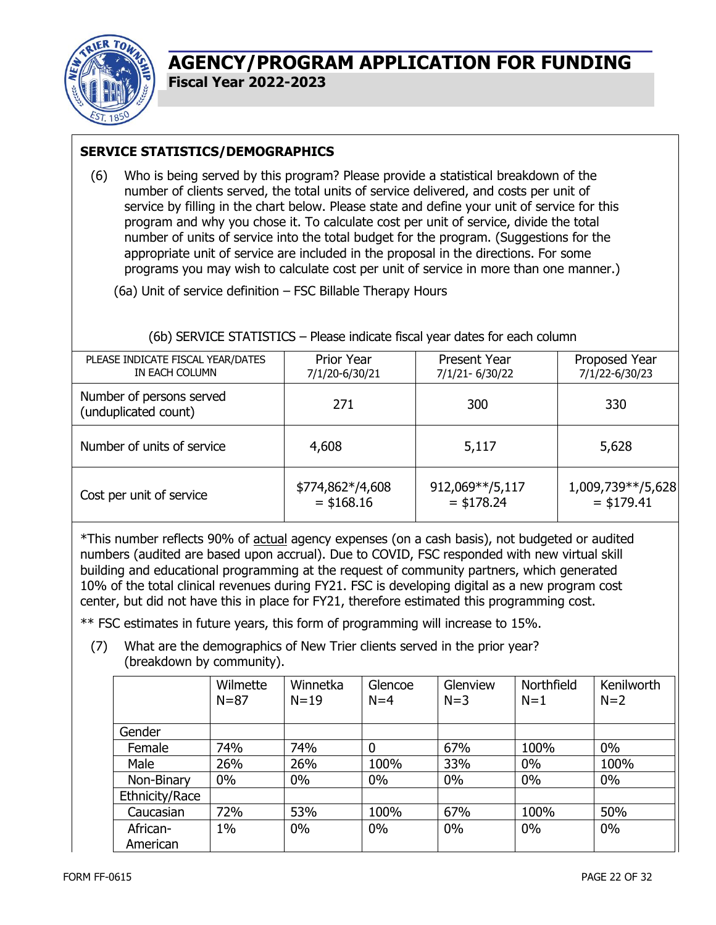

#### **SERVICE STATISTICS/DEMOGRAPHICS**

(6) Who is being served by this program? Please provide a statistical breakdown of the number of clients served, the total units of service delivered, and costs per unit of service by filling in the chart below. Please state and define your unit of service for this program and why you chose it. To calculate cost per unit of service, divide the total number of units of service into the total budget for the program. (Suggestions for the appropriate unit of service are included in the proposal in the directions. For some programs you may wish to calculate cost per unit of service in more than one manner.)

(6a) Unit of service definition – FSC Billable Therapy Hours

| PLEASE INDICATE FISCAL YEAR/DATES<br>IN EACH COLUMN | Prior Year<br>7/1/20-6/30/21 | Present Year<br>7/1/21-6/30/22 | Proposed Year<br>7/1/22-6/30/23      |
|-----------------------------------------------------|------------------------------|--------------------------------|--------------------------------------|
| Number of persons served<br>(unduplicated count)    | 271                          | 300                            | 330                                  |
| Number of units of service                          | 4,608                        | 5,117                          | 5,628                                |
| Cost per unit of service                            | \$774,862*/4,608<br>$+10010$ | 912,069**/5,117<br>$+170.24$   | 1,009,739**/5,628<br>+ + ¬ ⌒ _ _ + + |

 $=$  \$178.24

(6b) SERVICE STATISTICS – Please indicate fiscal year dates for each column

\*This number reflects 90% of actual agency expenses (on a cash basis), not budgeted or audited numbers (audited are based upon accrual). Due to COVID, FSC responded with new virtual skill building and educational programming at the request of community partners, which generated 10% of the total clinical revenues during FY21. FSC is developing digital as a new program cost center, but did not have this in place for FY21, therefore estimated this programming cost.

 $=$  \$168.16

\*\* FSC estimates in future years, this form of programming will increase to 15%.

(7) What are the demographics of New Trier clients served in the prior year? (breakdown by community).

|                      | Wilmette<br>$N = 87$ | Winnetka<br>$N = 19$ | Glencoe<br>$N=4$ | Glenview<br>$N=3$ | Northfield<br>$N=1$ | Kenilworth<br>$N=2$ |
|----------------------|----------------------|----------------------|------------------|-------------------|---------------------|---------------------|
| Gender               |                      |                      |                  |                   |                     |                     |
| Female               | 74%                  | 74%                  | 0                | 67%               | 100%                | $0\%$               |
| Male                 | 26%                  | 26%                  | 100%             | 33%               | $0\%$               | 100%                |
| Non-Binary           | $0\%$                | $0\%$                | $0\%$            | $0\%$             | $0\%$               | $0\%$               |
| Ethnicity/Race       |                      |                      |                  |                   |                     |                     |
| Caucasian            | 72%                  | 53%                  | 100%             | 67%               | 100%                | 50%                 |
| African-<br>American | $1\%$                | $0\%$                | $0\%$            | 0%                | $0\%$               | 0%                  |

 $=$  \$179.41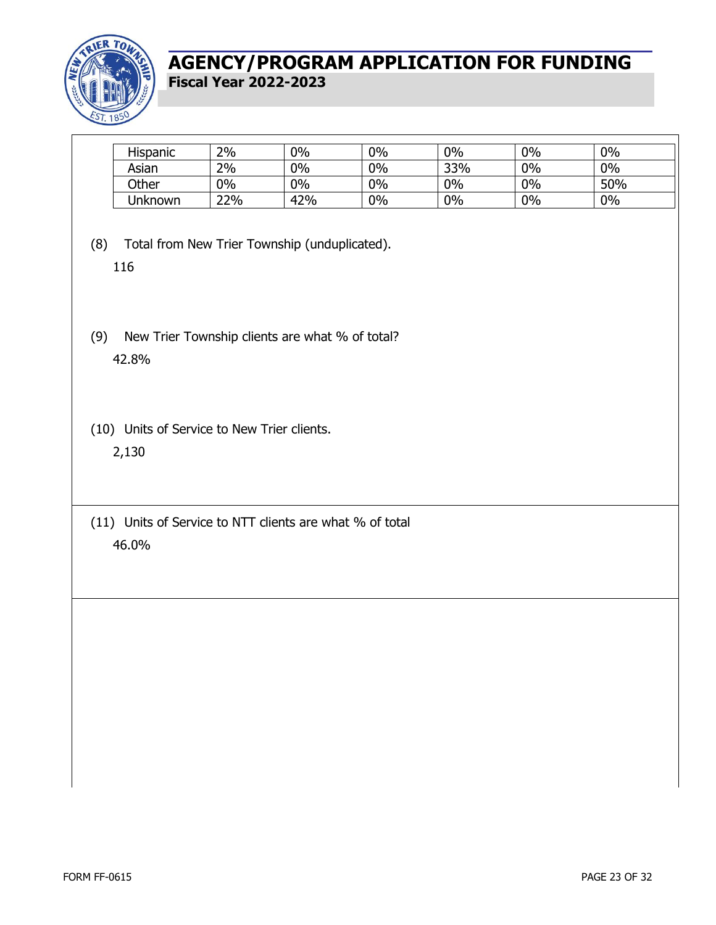

| Hispanic       | 2%  | $0\%$ | 0% | $0\%$ | 0% | 0%  |  |
|----------------|-----|-------|----|-------|----|-----|--|
| Asian          | 2%  | $0\%$ | 0% | 33%   | 0% | 0%  |  |
| Other          | 0%  | $0\%$ | 0% | 0%    | 0% | 50% |  |
| <b>Unknown</b> | 22% | 42%   | 0% | 0%    | 0% | 0%  |  |
|                |     |       |    |       |    |     |  |

- (8) Total from New Trier Township (unduplicated). 116
- (9) New Trier Township clients are what % of total? 42.8%
- (10) Units of Service to New Trier clients. 2,130
- (11) Units of Service to NTT clients are what % of total 46.0%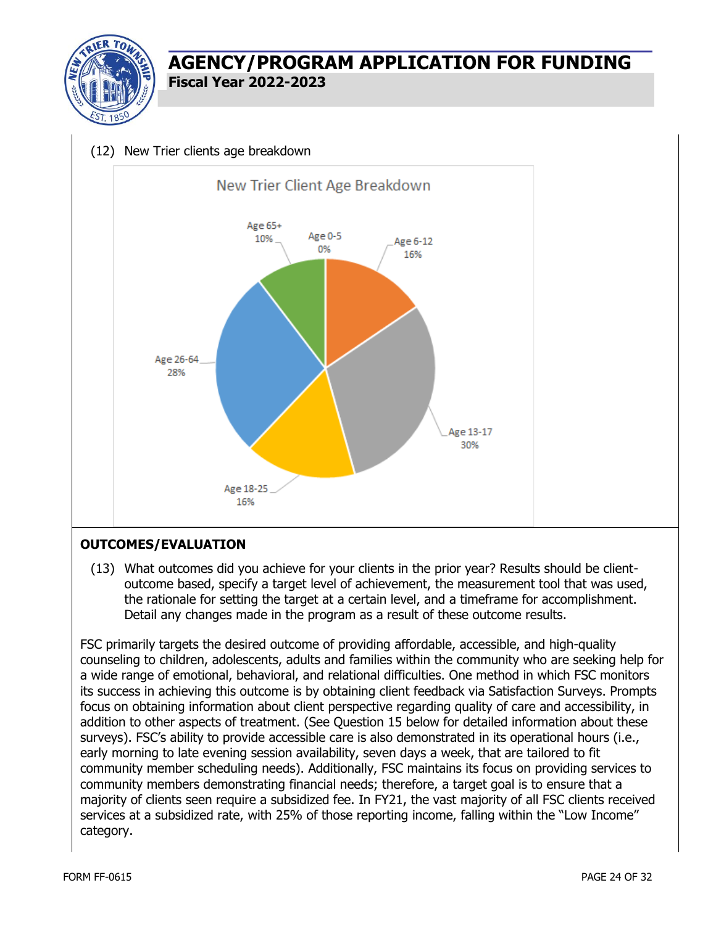

#### (12) New Trier clients age breakdown



#### **OUTCOMES/EVALUATION**

(13) What outcomes did you achieve for your clients in the prior year? Results should be clientoutcome based, specify a target level of achievement, the measurement tool that was used, the rationale for setting the target at a certain level, and a timeframe for accomplishment. Detail any changes made in the program as a result of these outcome results.

FSC primarily targets the desired outcome of providing affordable, accessible, and high-quality counseling to children, adolescents, adults and families within the community who are seeking help for a wide range of emotional, behavioral, and relational difficulties. One method in which FSC monitors its success in achieving this outcome is by obtaining client feedback via Satisfaction Surveys. Prompts focus on obtaining information about client perspective regarding quality of care and accessibility, in addition to other aspects of treatment. (See Question 15 below for detailed information about these surveys). FSC's ability to provide accessible care is also demonstrated in its operational hours (i.e., early morning to late evening session availability, seven days a week, that are tailored to fit community member scheduling needs). Additionally, FSC maintains its focus on providing services to community members demonstrating financial needs; therefore, a target goal is to ensure that a majority of clients seen require a subsidized fee. In FY21, the vast majority of all FSC clients received services at a subsidized rate, with 25% of those reporting income, falling within the "Low Income" category.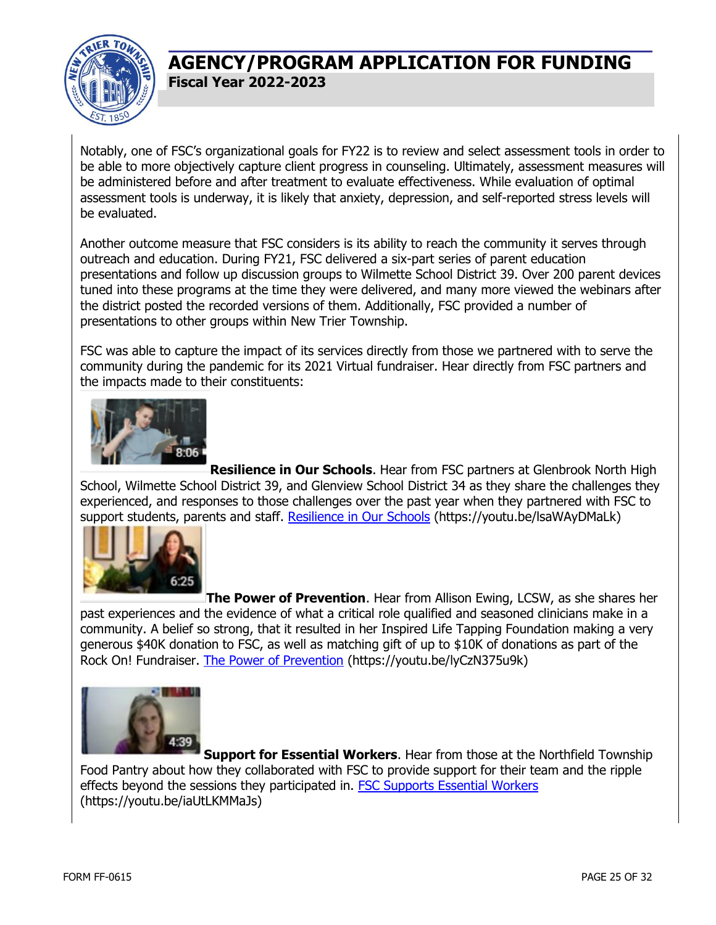

Notably, one of FSC's organizational goals for FY22 is to review and select assessment tools in order to be able to more objectively capture client progress in counseling. Ultimately, assessment measures will be administered before and after treatment to evaluate effectiveness. While evaluation of optimal assessment tools is underway, it is likely that anxiety, depression, and self-reported stress levels will be evaluated.

Another outcome measure that FSC considers is its ability to reach the community it serves through outreach and education. During FY21, FSC delivered a six-part series of parent education presentations and follow up discussion groups to Wilmette School District 39. Over 200 parent devices tuned into these programs at the time they were delivered, and many more viewed the webinars after the district posted the recorded versions of them. Additionally, FSC provided a number of presentations to other groups within New Trier Township.

FSC was able to capture the impact of its services directly from those we partnered with to serve the community during the pandemic for its 2021 Virtual fundraiser. Hear directly from FSC partners and the impacts made to their constituents:



**Resilience in Our Schools**. Hear from FSC partners at Glenbrook North High School, Wilmette School District 39, and Glenview School District 34 as they share the challenges they experienced, and responses to those challenges over the past year when they partnered with FSC to support students, parents and staff. [Resilience in Our Schools](https://youtu.be/lsaWAyDMaLk) (https://youtu.be/lsaWAyDMaLk)



**The Power of Prevention**. Hear from Allison Ewing, LCSW, as she shares her past experiences and the evidence of what a critical role qualified and seasoned clinicians make in a community. A belief so strong, that it resulted in her Inspired Life Tapping Foundation making a very generous \$40K donation to FSC, as well as matching gift of up to \$10K of donations as part of the Rock On! Fundraiser. [The Power of Prevention](https://youtu.be/lyCzN375u9k) (https://youtu.be/lyCzN375u9k)



**Support for Essential Workers**. Hear from those at the Northfield Township Food Pantry about how they collaborated with FSC to provide support for their team and the ripple effects beyond the sessions they participated in. [FSC Supports Essential Workers](https://youtu.be/iaUtLKMMaJs) (https://youtu.be/iaUtLKMMaJs)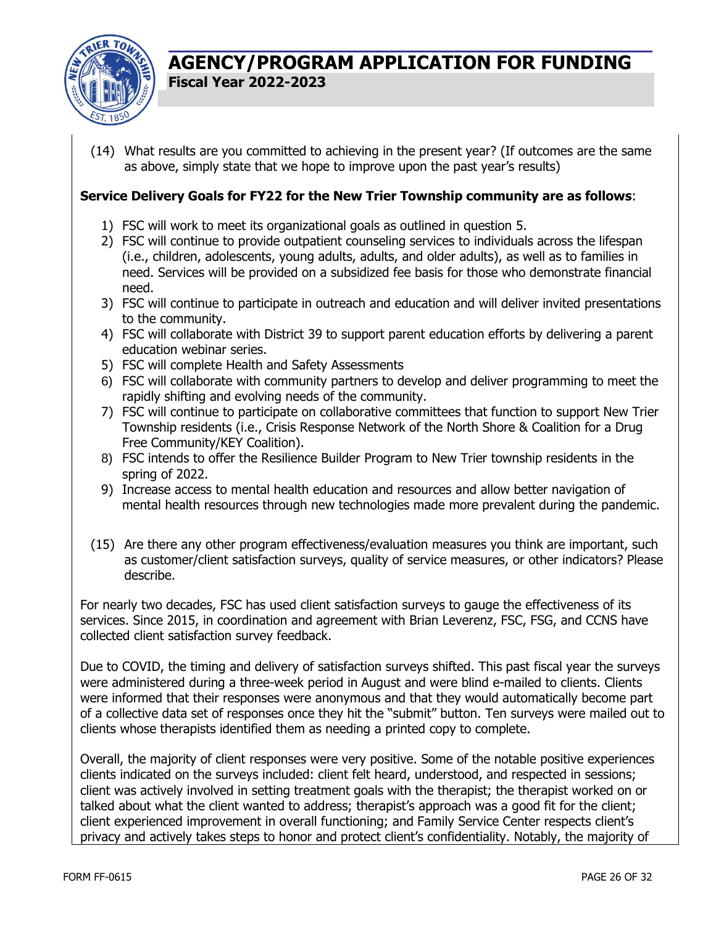

(14) What results are you committed to achieving in the present year? (If outcomes are the same as above, simply state that we hope to improve upon the past year's results)

#### **Service Delivery Goals for FY22 for the New Trier Township community are as follows**:

- 1) FSC will work to meet its organizational goals as outlined in question 5.
- 2) FSC will continue to provide outpatient counseling services to individuals across the lifespan (i.e., children, adolescents, young adults, adults, and older adults), as well as to families in need. Services will be provided on a subsidized fee basis for those who demonstrate financial need.
- 3) FSC will continue to participate in outreach and education and will deliver invited presentations to the community.
- 4) FSC will collaborate with District 39 to support parent education efforts by delivering a parent education webinar series.
- 5) FSC will complete Health and Safety Assessments
- 6) FSC will collaborate with community partners to develop and deliver programming to meet the rapidly shifting and evolving needs of the community.
- 7) FSC will continue to participate on collaborative committees that function to support New Trier Township residents (i.e., Crisis Response Network of the North Shore & Coalition for a Drug Free Community/KEY Coalition).
- 8) FSC intends to offer the Resilience Builder Program to New Trier township residents in the spring of 2022.
- 9) Increase access to mental health education and resources and allow better navigation of mental health resources through new technologies made more prevalent during the pandemic.
- (15) Are there any other program effectiveness/evaluation measures you think are important, such as customer/client satisfaction surveys, quality of service measures, or other indicators? Please describe.

For nearly two decades, FSC has used client satisfaction surveys to gauge the effectiveness of its services. Since 2015, in coordination and agreement with Brian Leverenz, FSC, FSG, and CCNS have collected client satisfaction survey feedback.

Due to COVID, the timing and delivery of satisfaction surveys shifted. This past fiscal year the surveys were administered during a three-week period in August and were blind e-mailed to clients. Clients were informed that their responses were anonymous and that they would automatically become part of a collective data set of responses once they hit the "submit" button. Ten surveys were mailed out to clients whose therapists identified them as needing a printed copy to complete.

Overall, the majority of client responses were very positive. Some of the notable positive experiences clients indicated on the surveys included: client felt heard, understood, and respected in sessions; client was actively involved in setting treatment goals with the therapist; the therapist worked on or talked about what the client wanted to address; therapist's approach was a good fit for the client; client experienced improvement in overall functioning; and Family Service Center respects client's privacy and actively takes steps to honor and protect client's confidentiality. Notably, the majority of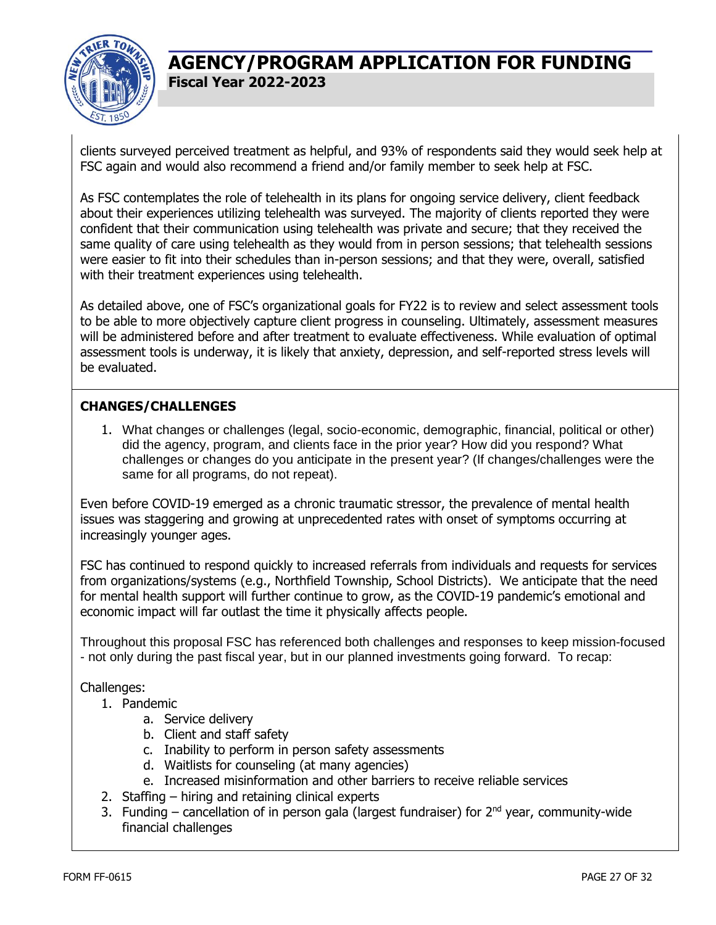

clients surveyed perceived treatment as helpful, and 93% of respondents said they would seek help at FSC again and would also recommend a friend and/or family member to seek help at FSC.

As FSC contemplates the role of telehealth in its plans for ongoing service delivery, client feedback about their experiences utilizing telehealth was surveyed. The majority of clients reported they were confident that their communication using telehealth was private and secure; that they received the same quality of care using telehealth as they would from in person sessions; that telehealth sessions were easier to fit into their schedules than in-person sessions; and that they were, overall, satisfied with their treatment experiences using telehealth.

As detailed above, one of FSC's organizational goals for FY22 is to review and select assessment tools to be able to more objectively capture client progress in counseling. Ultimately, assessment measures will be administered before and after treatment to evaluate effectiveness. While evaluation of optimal assessment tools is underway, it is likely that anxiety, depression, and self-reported stress levels will be evaluated.

#### **CHANGES/CHALLENGES**

1. What changes or challenges (legal, socio-economic, demographic, financial, political or other) did the agency, program, and clients face in the prior year? How did you respond? What challenges or changes do you anticipate in the present year? (If changes/challenges were the same for all programs, do not repeat).

Even before COVID-19 emerged as a chronic traumatic stressor, the prevalence of mental health issues was staggering and growing at unprecedented rates with onset of symptoms occurring at increasingly younger ages.

FSC has continued to respond quickly to increased referrals from individuals and requests for services from organizations/systems (e.g., Northfield Township, School Districts). We anticipate that the need for mental health support will further continue to grow, as the COVID-19 pandemic's emotional and economic impact will far outlast the time it physically affects people.

Throughout this proposal FSC has referenced both challenges and responses to keep mission-focused - not only during the past fiscal year, but in our planned investments going forward. To recap:

#### Challenges:

- 1. Pandemic
	- a. Service delivery
	- b. Client and staff safety
	- c. Inability to perform in person safety assessments
	- d. Waitlists for counseling (at many agencies)
	- e. Increased misinformation and other barriers to receive reliable services
- 2. Staffing hiring and retaining clinical experts
- 3. Funding cancellation of in person gala (largest fundraiser) for  $2^{nd}$  year, community-wide financial challenges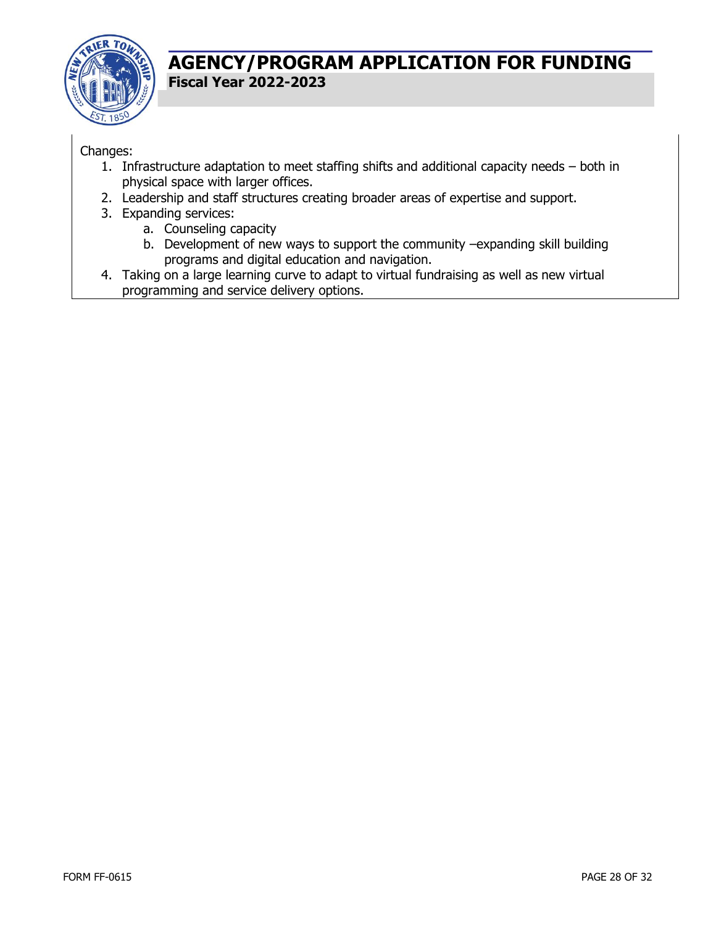

#### Changes:

- 1. Infrastructure adaptation to meet staffing shifts and additional capacity needs both in physical space with larger offices.
- 2. Leadership and staff structures creating broader areas of expertise and support.
- 3. Expanding services:
	- a. Counseling capacity
	- b. Development of new ways to support the community –expanding skill building programs and digital education and navigation.
- 4. Taking on a large learning curve to adapt to virtual fundraising as well as new virtual programming and service delivery options.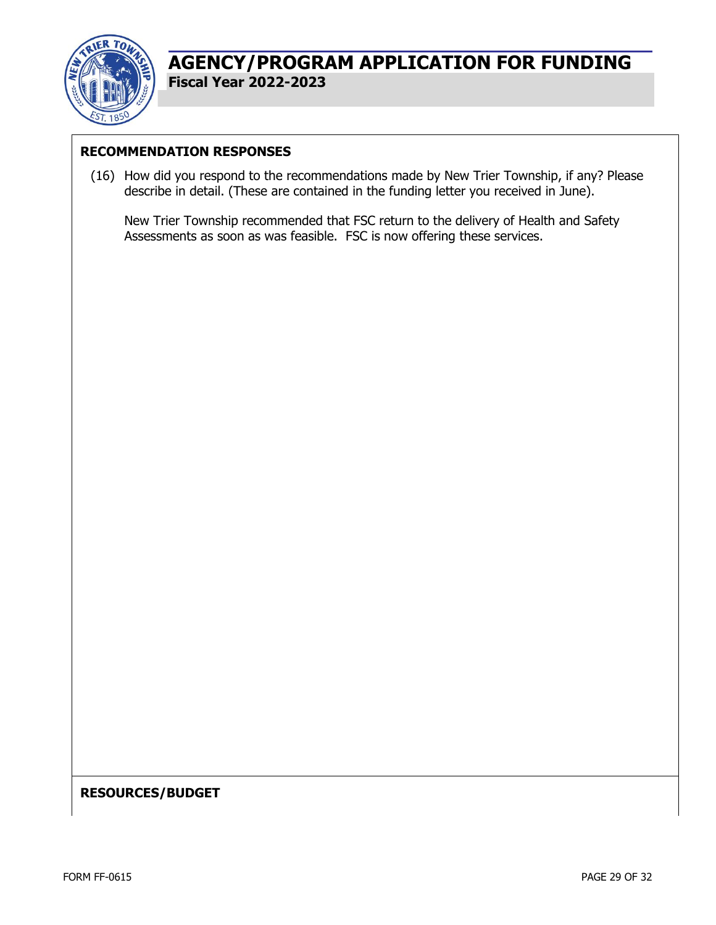

#### **RECOMMENDATION RESPONSES**

(16) How did you respond to the recommendations made by New Trier Township, if any? Please describe in detail. (These are contained in the funding letter you received in June).

New Trier Township recommended that FSC return to the delivery of Health and Safety Assessments as soon as was feasible. FSC is now offering these services.

#### **RESOURCES/BUDGET**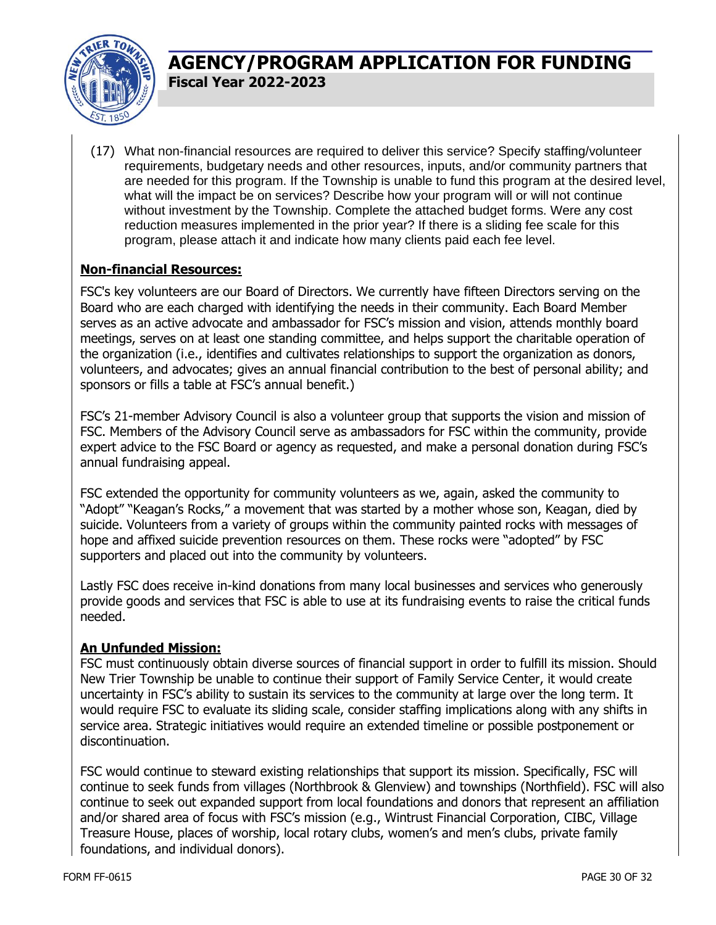

(17) What non-financial resources are required to deliver this service? Specify staffing/volunteer requirements, budgetary needs and other resources, inputs, and/or community partners that are needed for this program. If the Township is unable to fund this program at the desired level, what will the impact be on services? Describe how your program will or will not continue without investment by the Township. Complete the attached budget forms. Were any cost reduction measures implemented in the prior year? If there is a sliding fee scale for this program, please attach it and indicate how many clients paid each fee level.

#### **Non-financial Resources:**

FSC's key volunteers are our Board of Directors. We currently have fifteen Directors serving on the Board who are each charged with identifying the needs in their community. Each Board Member serves as an active advocate and ambassador for FSC's mission and vision, attends monthly board meetings, serves on at least one standing committee, and helps support the charitable operation of the organization (i.e., identifies and cultivates relationships to support the organization as donors, volunteers, and advocates; gives an annual financial contribution to the best of personal ability; and sponsors or fills a table at FSC's annual benefit.)

FSC's 21-member Advisory Council is also a volunteer group that supports the vision and mission of FSC. Members of the Advisory Council serve as ambassadors for FSC within the community, provide expert advice to the FSC Board or agency as requested, and make a personal donation during FSC's annual fundraising appeal.

FSC extended the opportunity for community volunteers as we, again, asked the community to "Adopt" "Keagan's Rocks," a movement that was started by a mother whose son, Keagan, died by suicide. Volunteers from a variety of groups within the community painted rocks with messages of hope and affixed suicide prevention resources on them. These rocks were "adopted" by FSC supporters and placed out into the community by volunteers.

Lastly FSC does receive in-kind donations from many local businesses and services who generously provide goods and services that FSC is able to use at its fundraising events to raise the critical funds needed.

#### **An Unfunded Mission:**

FSC must continuously obtain diverse sources of financial support in order to fulfill its mission. Should New Trier Township be unable to continue their support of Family Service Center, it would create uncertainty in FSC's ability to sustain its services to the community at large over the long term. It would require FSC to evaluate its sliding scale, consider staffing implications along with any shifts in service area. Strategic initiatives would require an extended timeline or possible postponement or discontinuation.

FSC would continue to steward existing relationships that support its mission. Specifically, FSC will continue to seek funds from villages (Northbrook & Glenview) and townships (Northfield). FSC will also continue to seek out expanded support from local foundations and donors that represent an affiliation and/or shared area of focus with FSC's mission (e.g., Wintrust Financial Corporation, CIBC, Village Treasure House, places of worship, local rotary clubs, women's and men's clubs, private family foundations, and individual donors).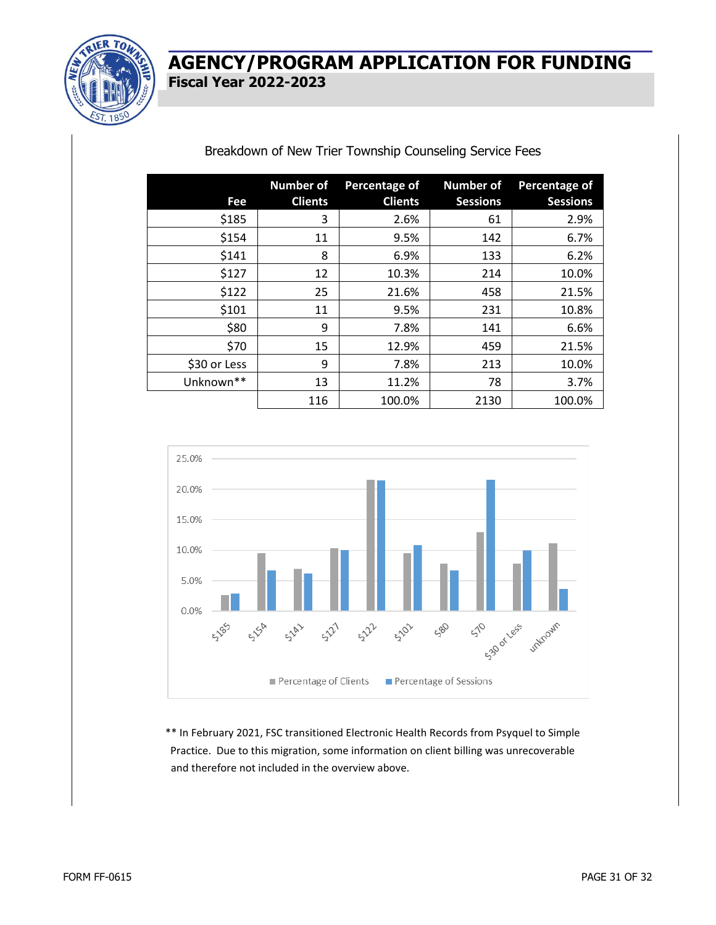

#### Breakdown of New Trier Township Counseling Service Fees

| Fee          | <b>Number of</b><br><b>Clients</b> | Percentage of<br><b>Clients</b> | <b>Number of</b><br><b>Sessions</b> | <b>Percentage of</b><br><b>Sessions</b> |
|--------------|------------------------------------|---------------------------------|-------------------------------------|-----------------------------------------|
| \$185        | 3                                  | 2.6%                            | 61                                  | 2.9%                                    |
| \$154        | 11                                 | 9.5%                            | 142                                 | 6.7%                                    |
| \$141        | 8                                  | 6.9%                            | 133                                 | 6.2%                                    |
| \$127        | 12                                 | 10.3%                           | 214                                 | 10.0%                                   |
| \$122        | 25                                 | 21.6%                           | 458                                 | 21.5%                                   |
| \$101        | 11                                 | 9.5%                            | 231                                 | 10.8%                                   |
| \$80         | 9                                  | 7.8%                            | 141                                 | 6.6%                                    |
| \$70         | 15                                 | 12.9%                           | 459                                 | 21.5%                                   |
| \$30 or Less | 9                                  | 7.8%                            | 213                                 | 10.0%                                   |
| Unknown**    | 13                                 | 11.2%                           | 78                                  | 3.7%                                    |
|              | 116                                | 100.0%                          | 2130                                | 100.0%                                  |



\*\* In February 2021, FSC transitioned Electronic Health Records from Psyquel to Simple Practice. Due to this migration, some information on client billing was unrecoverable and therefore not included in the overview above.